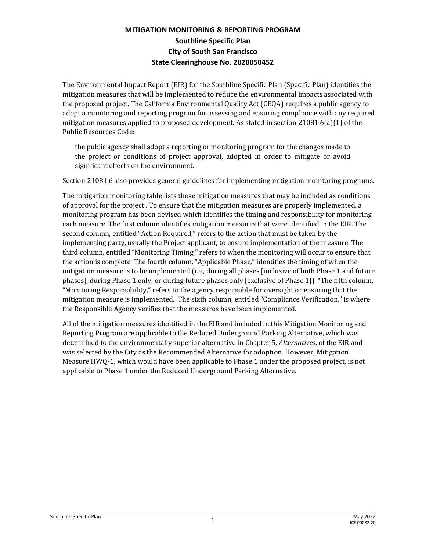## **MITIGATION MONITORING & REPORTING PROGRAM Southline Specific Plan City of South San Francisco State Clearinghouse No. 2020050452**

The Environmental Impact Report (EIR) for the Southline Specific Plan (Specific Plan) identifies the mitigation measures that will be implemented to reduce the environmental impacts associated with the proposed project. The California Environmental Quality Act (CEQA) requires a public agency to adopt a monitoring and reporting program for assessing and ensuring compliance with any required mitigation measures applied to proposed development. As stated in section  $21081.6(a)(1)$  of the Public Resources Code:

the public agency shall adopt a reporting or monitoring program for the changes made to the project or conditions of project approval, adopted in order to mitigate or avoid significant effects on the environment.

Section 21081.6 also provides general guidelines for implementing mitigation monitoring programs.

The mitigation monitoring table lists those mitigation measures that may be included as conditions of approval for the project . To ensure that the mitigation measures are properly implemented, a monitoring program has been devised which identifies the timing and responsibility for monitoring each measure. The first column identifies mitigation measures that were identified in the EIR. The second column, entitled "Action Required," refers to the action that must be taken by the implementing party, usually the Project applicant, to ensure implementation of the measure. The third column, entitled "Monitoring Timing," refers to when the monitoring will occur to ensure that the action is complete. The fourth column, "Applicable Phase," identifies the timing of when the mitigation measure is to be implemented (i.e., during all phases [inclusive of both Phase 1 and future phases], during Phase 1 only, or during future phases only [exclusive of Phase 1]). "The fifth column, "Monitoring Responsibility," refers to the agency responsible for oversight or ensuring that the mitigation measure is implemented. The sixth column, entitled "Compliance Verification," is where the Responsible Agency verifies that the measures have been implemented.

All of the mitigation measures identified in the EIR and included in this Mitigation Monitoring and Reporting Program are applicable to the Reduced Underground Parking Alternative, which was determined to the environmentally superior alternative in Chapter 5, *Alternatives*, of the EIR and was selected by the City as the Recommended Alternative for adoption. However, Mitigation Measure HWQ-1, which would have been applicable to Phase 1 under the proposed project, is not applicable to Phase 1 under the Reduced Underground Parking Alternative.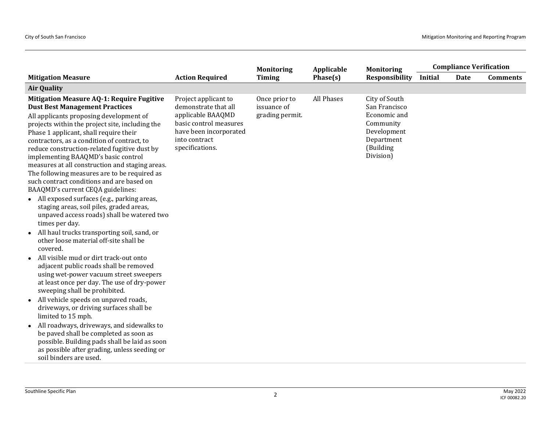|                                                                                                                                                                                                                                                                                                                                                                                                                                                                                                                                                                                                                                                                                                                                                                                                                                                                                                                                                                                                                                                                                                                                                                                                                                                                                                                                                                            |                                                                                                                                                           | <b>Monitoring</b>                               | Applicable | <b>Monitoring</b>                                                                                                  |         | <b>Compliance Verification</b> |                 |
|----------------------------------------------------------------------------------------------------------------------------------------------------------------------------------------------------------------------------------------------------------------------------------------------------------------------------------------------------------------------------------------------------------------------------------------------------------------------------------------------------------------------------------------------------------------------------------------------------------------------------------------------------------------------------------------------------------------------------------------------------------------------------------------------------------------------------------------------------------------------------------------------------------------------------------------------------------------------------------------------------------------------------------------------------------------------------------------------------------------------------------------------------------------------------------------------------------------------------------------------------------------------------------------------------------------------------------------------------------------------------|-----------------------------------------------------------------------------------------------------------------------------------------------------------|-------------------------------------------------|------------|--------------------------------------------------------------------------------------------------------------------|---------|--------------------------------|-----------------|
| <b>Mitigation Measure</b>                                                                                                                                                                                                                                                                                                                                                                                                                                                                                                                                                                                                                                                                                                                                                                                                                                                                                                                                                                                                                                                                                                                                                                                                                                                                                                                                                  | <b>Action Required</b>                                                                                                                                    | <b>Timing</b>                                   | Phase(s)   | <b>Responsibility</b>                                                                                              | Initial | <b>Date</b>                    | <b>Comments</b> |
| <b>Air Quality</b>                                                                                                                                                                                                                                                                                                                                                                                                                                                                                                                                                                                                                                                                                                                                                                                                                                                                                                                                                                                                                                                                                                                                                                                                                                                                                                                                                         |                                                                                                                                                           |                                                 |            |                                                                                                                    |         |                                |                 |
| <b>Mitigation Measure AQ-1: Require Fugitive</b><br><b>Dust Best Management Practices</b><br>All applicants proposing development of<br>projects within the project site, including the<br>Phase 1 applicant, shall require their<br>contractors, as a condition of contract, to<br>reduce construction-related fugitive dust by<br>implementing BAAQMD's basic control<br>measures at all construction and staging areas.<br>The following measures are to be required as<br>such contract conditions and are based on<br>BAAQMD's current CEQA guidelines:<br>• All exposed surfaces (e.g., parking areas,<br>staging areas, soil piles, graded areas,<br>unpaved access roads) shall be watered two<br>times per day.<br>• All haul trucks transporting soil, sand, or<br>other loose material off-site shall be<br>covered.<br>All visible mud or dirt track-out onto<br>adjacent public roads shall be removed<br>using wet-power vacuum street sweepers<br>at least once per day. The use of dry-power<br>sweeping shall be prohibited.<br>• All vehicle speeds on unpaved roads,<br>driveways, or driving surfaces shall be<br>limited to 15 mph.<br>All roadways, driveways, and sidewalks to<br>be paved shall be completed as soon as<br>possible. Building pads shall be laid as soon<br>as possible after grading, unless seeding or<br>soil binders are used. | Project applicant to<br>demonstrate that all<br>applicable BAAQMD<br>basic control measures<br>have been incorporated<br>into contract<br>specifications. | Once prior to<br>issuance of<br>grading permit. | All Phases | City of South<br>San Francisco<br>Economic and<br>Community<br>Development<br>Department<br>(Building<br>Division) |         |                                |                 |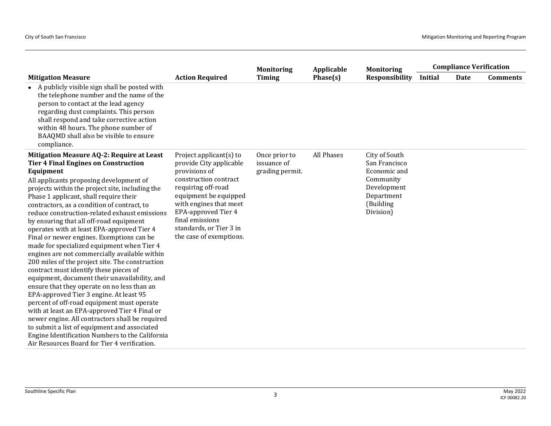|                                                                                                                                                                                                                                                                                                                                                                                                                                                                                                                                                                                                                                                                                                                                                                                                                                                                                                                                                                                                                                                                                                                                 |                                                                                                                                                                                                                                                                                 | <b>Monitoring</b>                               | Applicable | <b>Monitoring</b>                                                                                                  |                | <b>Compliance Verification</b> |                 |
|---------------------------------------------------------------------------------------------------------------------------------------------------------------------------------------------------------------------------------------------------------------------------------------------------------------------------------------------------------------------------------------------------------------------------------------------------------------------------------------------------------------------------------------------------------------------------------------------------------------------------------------------------------------------------------------------------------------------------------------------------------------------------------------------------------------------------------------------------------------------------------------------------------------------------------------------------------------------------------------------------------------------------------------------------------------------------------------------------------------------------------|---------------------------------------------------------------------------------------------------------------------------------------------------------------------------------------------------------------------------------------------------------------------------------|-------------------------------------------------|------------|--------------------------------------------------------------------------------------------------------------------|----------------|--------------------------------|-----------------|
| <b>Mitigation Measure</b>                                                                                                                                                                                                                                                                                                                                                                                                                                                                                                                                                                                                                                                                                                                                                                                                                                                                                                                                                                                                                                                                                                       | <b>Action Required</b>                                                                                                                                                                                                                                                          | <b>Timing</b>                                   | Phase(s)   | <b>Responsibility</b>                                                                                              | <b>Initial</b> | Date                           | <b>Comments</b> |
| • A publicly visible sign shall be posted with<br>the telephone number and the name of the<br>person to contact at the lead agency<br>regarding dust complaints. This person<br>shall respond and take corrective action<br>within 48 hours. The phone number of<br>BAAQMD shall also be visible to ensure<br>compliance.                                                                                                                                                                                                                                                                                                                                                                                                                                                                                                                                                                                                                                                                                                                                                                                                       |                                                                                                                                                                                                                                                                                 |                                                 |            |                                                                                                                    |                |                                |                 |
| Mitigation Measure AQ-2: Require at Least<br><b>Tier 4 Final Engines on Construction</b><br>Equipment<br>All applicants proposing development of<br>projects within the project site, including the<br>Phase 1 applicant, shall require their<br>contractors, as a condition of contract, to<br>reduce construction-related exhaust emissions<br>by ensuring that all off-road equipment<br>operates with at least EPA-approved Tier 4<br>Final or newer engines. Exemptions can be<br>made for specialized equipment when Tier 4<br>engines are not commercially available within<br>200 miles of the project site. The construction<br>contract must identify these pieces of<br>equipment, document their unavailability, and<br>ensure that they operate on no less than an<br>EPA-approved Tier 3 engine. At least 95<br>percent of off-road equipment must operate<br>with at least an EPA-approved Tier 4 Final or<br>newer engine. All contractors shall be required<br>to submit a list of equipment and associated<br>Engine Identification Numbers to the California<br>Air Resources Board for Tier 4 verification. | Project applicant $(s)$ to<br>provide City applicable<br>provisions of<br>construction contract<br>requiring off-road<br>equipment be equipped<br>with engines that meet<br><b>EPA-approved Tier 4</b><br>final emissions<br>standards, or Tier 3 in<br>the case of exemptions. | Once prior to<br>issuance of<br>grading permit. | All Phases | City of South<br>San Francisco<br>Economic and<br>Community<br>Development<br>Department<br>(Building<br>Division) |                |                                |                 |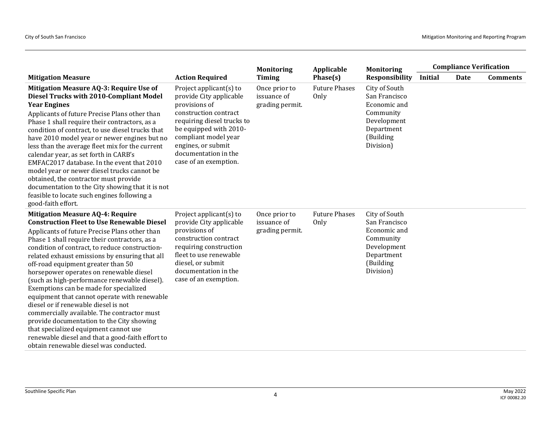|                                                                                                                                                                                                                                                                                                                                                                                                                                                                                                                                                                                                                                                                                                                                                                                                          |                                                                                                                                                                                                                                                        | <b>Monitoring</b>                               | Applicable                   | <b>Monitoring</b>                                                                                                  |                | <b>Compliance Verification</b> |                 |
|----------------------------------------------------------------------------------------------------------------------------------------------------------------------------------------------------------------------------------------------------------------------------------------------------------------------------------------------------------------------------------------------------------------------------------------------------------------------------------------------------------------------------------------------------------------------------------------------------------------------------------------------------------------------------------------------------------------------------------------------------------------------------------------------------------|--------------------------------------------------------------------------------------------------------------------------------------------------------------------------------------------------------------------------------------------------------|-------------------------------------------------|------------------------------|--------------------------------------------------------------------------------------------------------------------|----------------|--------------------------------|-----------------|
| <b>Mitigation Measure</b>                                                                                                                                                                                                                                                                                                                                                                                                                                                                                                                                                                                                                                                                                                                                                                                | <b>Action Required</b>                                                                                                                                                                                                                                 | Timing                                          | Phase(s)                     | <b>Responsibility</b>                                                                                              | <b>Initial</b> | Date                           | <b>Comments</b> |
| Mitigation Measure AQ-3: Require Use of<br>Diesel Trucks with 2010-Compliant Model<br><b>Year Engines</b><br>Applicants of future Precise Plans other than<br>Phase 1 shall require their contractors, as a<br>condition of contract, to use diesel trucks that<br>have 2010 model year or newer engines but no<br>less than the average fleet mix for the current<br>calendar year, as set forth in CARB's<br>EMFAC2017 database. In the event that 2010<br>model year or newer diesel trucks cannot be<br>obtained, the contractor must provide<br>documentation to the City showing that it is not<br>feasible to locate such engines following a<br>good-faith effort.                                                                                                                               | Project applicant $(s)$ to<br>provide City applicable<br>provisions of<br>construction contract<br>requiring diesel trucks to<br>be equipped with 2010-<br>compliant model year<br>engines, or submit<br>documentation in the<br>case of an exemption. | Once prior to<br>issuance of<br>grading permit. | <b>Future Phases</b><br>Only | City of South<br>San Francisco<br>Economic and<br>Community<br>Development<br>Department<br>(Building<br>Division) |                |                                |                 |
| <b>Mitigation Measure AQ-4: Require</b><br><b>Construction Fleet to Use Renewable Diesel</b><br>Applicants of future Precise Plans other than<br>Phase 1 shall require their contractors, as a<br>condition of contract, to reduce construction-<br>related exhaust emissions by ensuring that all<br>off-road equipment greater than 50<br>horsepower operates on renewable diesel<br>(such as high-performance renewable diesel).<br>Exemptions can be made for specialized<br>equipment that cannot operate with renewable<br>diesel or if renewable diesel is not<br>commercially available. The contractor must<br>provide documentation to the City showing<br>that specialized equipment cannot use<br>renewable diesel and that a good-faith effort to<br>obtain renewable diesel was conducted. | Project applicant(s) to<br>provide City applicable<br>provisions of<br>construction contract<br>requiring construction<br>fleet to use renewable<br>diesel, or submit<br>documentation in the<br>case of an exemption.                                 | Once prior to<br>issuance of<br>grading permit. | <b>Future Phases</b><br>Only | City of South<br>San Francisco<br>Economic and<br>Community<br>Development<br>Department<br>(Building<br>Division) |                |                                |                 |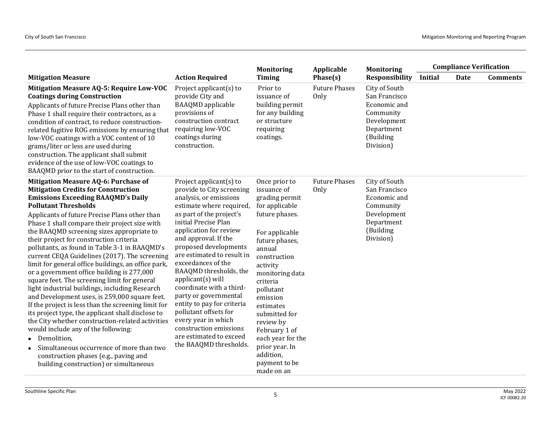|                                                                                                                                                                                                                                                                                                                                                                                                                                                                                                                                                                                                                                                                                                                                                                                                                                                                                                                                                                                                                                                                           |                                                                                                                                                                                                                                                                                                                                                                                                                                                                                                                                                                  | <b>Monitoring</b>                                                                                                                                                                                                                                                                                                                                                   | Applicable                   | <b>Monitoring</b>                                                                                                  | <b>Compliance Verification</b> |      |                 |
|---------------------------------------------------------------------------------------------------------------------------------------------------------------------------------------------------------------------------------------------------------------------------------------------------------------------------------------------------------------------------------------------------------------------------------------------------------------------------------------------------------------------------------------------------------------------------------------------------------------------------------------------------------------------------------------------------------------------------------------------------------------------------------------------------------------------------------------------------------------------------------------------------------------------------------------------------------------------------------------------------------------------------------------------------------------------------|------------------------------------------------------------------------------------------------------------------------------------------------------------------------------------------------------------------------------------------------------------------------------------------------------------------------------------------------------------------------------------------------------------------------------------------------------------------------------------------------------------------------------------------------------------------|---------------------------------------------------------------------------------------------------------------------------------------------------------------------------------------------------------------------------------------------------------------------------------------------------------------------------------------------------------------------|------------------------------|--------------------------------------------------------------------------------------------------------------------|--------------------------------|------|-----------------|
| <b>Mitigation Measure</b>                                                                                                                                                                                                                                                                                                                                                                                                                                                                                                                                                                                                                                                                                                                                                                                                                                                                                                                                                                                                                                                 | <b>Action Required</b>                                                                                                                                                                                                                                                                                                                                                                                                                                                                                                                                           | <b>Timing</b>                                                                                                                                                                                                                                                                                                                                                       | Phase(s)                     | <b>Responsibility</b>                                                                                              | <b>Initial</b>                 | Date | <b>Comments</b> |
| Mitigation Measure AQ-5: Require Low-VOC<br><b>Coatings during Construction</b><br>Applicants of future Precise Plans other than<br>Phase 1 shall require their contractors, as a<br>condition of contract, to reduce construction-<br>related fugitive ROG emissions by ensuring that<br>low-VOC coatings with a VOC content of 10<br>grams/liter or less are used during<br>construction. The applicant shall submit<br>evidence of the use of low-VOC coatings to<br>BAAQMD prior to the start of construction.                                                                                                                                                                                                                                                                                                                                                                                                                                                                                                                                                        | Project applicant $(s)$ to<br>provide City and<br><b>BAAQMD</b> applicable<br>provisions of<br>construction contract<br>requiring low-VOC<br>coatings during<br>construction.                                                                                                                                                                                                                                                                                                                                                                                    | Prior to<br>issuance of<br>building permit<br>for any building<br>or structure<br>requiring<br>coatings.                                                                                                                                                                                                                                                            | <b>Future Phases</b><br>Only | City of South<br>San Francisco<br>Economic and<br>Community<br>Development<br>Department<br>(Building<br>Division) |                                |      |                 |
| Mitigation Measure AQ-6: Purchase of<br><b>Mitigation Credits for Construction</b><br><b>Emissions Exceeding BAAQMD's Daily</b><br><b>Pollutant Thresholds</b><br>Applicants of future Precise Plans other than<br>Phase 1 shall compare their project size with<br>the BAAQMD screening sizes appropriate to<br>their project for construction criteria<br>pollutants, as found in Table 3-1 in BAAQMD's<br>current CEQA Guidelines (2017). The screening<br>limit for general office buildings, an office park,<br>or a government office building is 277,000<br>square feet. The screening limit for general<br>light industrial buildings, including Research<br>and Development uses, is 259,000 square feet.<br>If the project is less than the screening limit for<br>its project type, the applicant shall disclose to<br>the City whether construction-related activities<br>would include any of the following:<br>• Demolition,<br>Simultaneous occurrence of more than two<br>construction phases (e.g., paving and<br>building construction) or simultaneous | Project applicant(s) to<br>provide to City screening<br>analysis, or emissions<br>estimate where required,<br>as part of the project's<br>initial Precise Plan<br>application for review<br>and approval. If the<br>proposed developments<br>are estimated to result in<br>exceedances of the<br>BAAQMD thresholds, the<br>$applicant(s)$ will<br>coordinate with a third-<br>party or governmental<br>entity to pay for criteria<br>pollutant offsets for<br>every year in which<br>construction emissions<br>are estimated to exceed<br>the BAAQMD thresholds. | Once prior to<br>issuance of<br>grading permit<br>for applicable<br>future phases.<br>For applicable<br>future phases,<br>annual<br>construction<br>activity<br>monitoring data<br>criteria<br>pollutant<br>emission<br>estimates<br>submitted for<br>review by<br>February 1 of<br>each year for the<br>prior year. In<br>addition,<br>payment to be<br>made on an | <b>Future Phases</b><br>Only | City of South<br>San Francisco<br>Economic and<br>Community<br>Development<br>Department<br>(Building<br>Division) |                                |      |                 |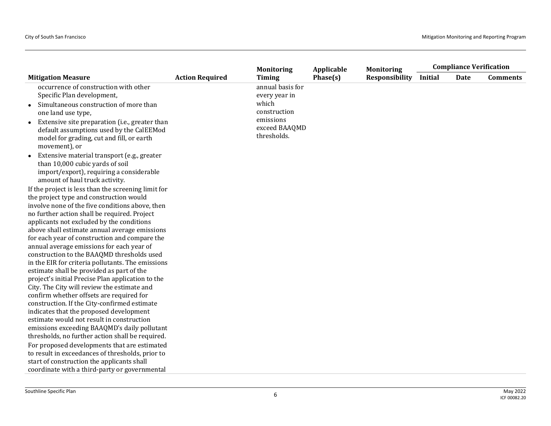| <b>Responsibility</b><br><b>Timing</b><br>Phase(s)<br><b>Action Required</b><br><b>Initial</b><br><b>Date</b><br><b>Comments</b><br><b>Mitigation Measure</b><br>occurrence of construction with other<br>annual basis for<br>Specific Plan development,<br>every year in<br>which<br>Simultaneous construction of more than<br>$\bullet$<br>construction<br>one land use type,<br>emissions<br>Extensive site preparation (i.e., greater than<br>$\bullet$<br>exceed BAAQMD<br>default assumptions used by the CalEEMod<br>thresholds.<br>model for grading, cut and fill, or earth<br>movement), or |                                             | <b>Monitoring</b> | Applicable | <b>Monitoring</b> | <b>Compliance Verification</b> |  |  |
|-------------------------------------------------------------------------------------------------------------------------------------------------------------------------------------------------------------------------------------------------------------------------------------------------------------------------------------------------------------------------------------------------------------------------------------------------------------------------------------------------------------------------------------------------------------------------------------------------------|---------------------------------------------|-------------------|------------|-------------------|--------------------------------|--|--|
|                                                                                                                                                                                                                                                                                                                                                                                                                                                                                                                                                                                                       |                                             |                   |            |                   |                                |  |  |
|                                                                                                                                                                                                                                                                                                                                                                                                                                                                                                                                                                                                       |                                             |                   |            |                   |                                |  |  |
|                                                                                                                                                                                                                                                                                                                                                                                                                                                                                                                                                                                                       |                                             |                   |            |                   |                                |  |  |
|                                                                                                                                                                                                                                                                                                                                                                                                                                                                                                                                                                                                       |                                             |                   |            |                   |                                |  |  |
|                                                                                                                                                                                                                                                                                                                                                                                                                                                                                                                                                                                                       |                                             |                   |            |                   |                                |  |  |
|                                                                                                                                                                                                                                                                                                                                                                                                                                                                                                                                                                                                       |                                             |                   |            |                   |                                |  |  |
|                                                                                                                                                                                                                                                                                                                                                                                                                                                                                                                                                                                                       |                                             |                   |            |                   |                                |  |  |
|                                                                                                                                                                                                                                                                                                                                                                                                                                                                                                                                                                                                       |                                             |                   |            |                   |                                |  |  |
|                                                                                                                                                                                                                                                                                                                                                                                                                                                                                                                                                                                                       |                                             |                   |            |                   |                                |  |  |
|                                                                                                                                                                                                                                                                                                                                                                                                                                                                                                                                                                                                       | Extensive material transport (e.g., greater |                   |            |                   |                                |  |  |
| than 10,000 cubic yards of soil                                                                                                                                                                                                                                                                                                                                                                                                                                                                                                                                                                       |                                             |                   |            |                   |                                |  |  |
| import/export), requiring a considerable                                                                                                                                                                                                                                                                                                                                                                                                                                                                                                                                                              |                                             |                   |            |                   |                                |  |  |
| amount of haul truck activity.                                                                                                                                                                                                                                                                                                                                                                                                                                                                                                                                                                        |                                             |                   |            |                   |                                |  |  |
| If the project is less than the screening limit for                                                                                                                                                                                                                                                                                                                                                                                                                                                                                                                                                   |                                             |                   |            |                   |                                |  |  |
| the project type and construction would                                                                                                                                                                                                                                                                                                                                                                                                                                                                                                                                                               |                                             |                   |            |                   |                                |  |  |
| involve none of the five conditions above, then                                                                                                                                                                                                                                                                                                                                                                                                                                                                                                                                                       |                                             |                   |            |                   |                                |  |  |
| no further action shall be required. Project                                                                                                                                                                                                                                                                                                                                                                                                                                                                                                                                                          |                                             |                   |            |                   |                                |  |  |
| applicants not excluded by the conditions                                                                                                                                                                                                                                                                                                                                                                                                                                                                                                                                                             |                                             |                   |            |                   |                                |  |  |
| above shall estimate annual average emissions<br>for each year of construction and compare the                                                                                                                                                                                                                                                                                                                                                                                                                                                                                                        |                                             |                   |            |                   |                                |  |  |
| annual average emissions for each year of                                                                                                                                                                                                                                                                                                                                                                                                                                                                                                                                                             |                                             |                   |            |                   |                                |  |  |
| construction to the BAAQMD thresholds used                                                                                                                                                                                                                                                                                                                                                                                                                                                                                                                                                            |                                             |                   |            |                   |                                |  |  |
| in the EIR for criteria pollutants. The emissions                                                                                                                                                                                                                                                                                                                                                                                                                                                                                                                                                     |                                             |                   |            |                   |                                |  |  |
| estimate shall be provided as part of the                                                                                                                                                                                                                                                                                                                                                                                                                                                                                                                                                             |                                             |                   |            |                   |                                |  |  |
| project's initial Precise Plan application to the                                                                                                                                                                                                                                                                                                                                                                                                                                                                                                                                                     |                                             |                   |            |                   |                                |  |  |
| City. The City will review the estimate and                                                                                                                                                                                                                                                                                                                                                                                                                                                                                                                                                           |                                             |                   |            |                   |                                |  |  |
| confirm whether offsets are required for                                                                                                                                                                                                                                                                                                                                                                                                                                                                                                                                                              |                                             |                   |            |                   |                                |  |  |
| construction. If the City-confirmed estimate                                                                                                                                                                                                                                                                                                                                                                                                                                                                                                                                                          |                                             |                   |            |                   |                                |  |  |
| indicates that the proposed development                                                                                                                                                                                                                                                                                                                                                                                                                                                                                                                                                               |                                             |                   |            |                   |                                |  |  |
| estimate would not result in construction                                                                                                                                                                                                                                                                                                                                                                                                                                                                                                                                                             |                                             |                   |            |                   |                                |  |  |
| emissions exceeding BAAQMD's daily pollutant                                                                                                                                                                                                                                                                                                                                                                                                                                                                                                                                                          |                                             |                   |            |                   |                                |  |  |
| thresholds, no further action shall be required.                                                                                                                                                                                                                                                                                                                                                                                                                                                                                                                                                      |                                             |                   |            |                   |                                |  |  |
| For proposed developments that are estimated                                                                                                                                                                                                                                                                                                                                                                                                                                                                                                                                                          |                                             |                   |            |                   |                                |  |  |
| to result in exceedances of thresholds, prior to                                                                                                                                                                                                                                                                                                                                                                                                                                                                                                                                                      |                                             |                   |            |                   |                                |  |  |
| start of construction the applicants shall                                                                                                                                                                                                                                                                                                                                                                                                                                                                                                                                                            |                                             |                   |            |                   |                                |  |  |
| coordinate with a third-party or governmental                                                                                                                                                                                                                                                                                                                                                                                                                                                                                                                                                         |                                             |                   |            |                   |                                |  |  |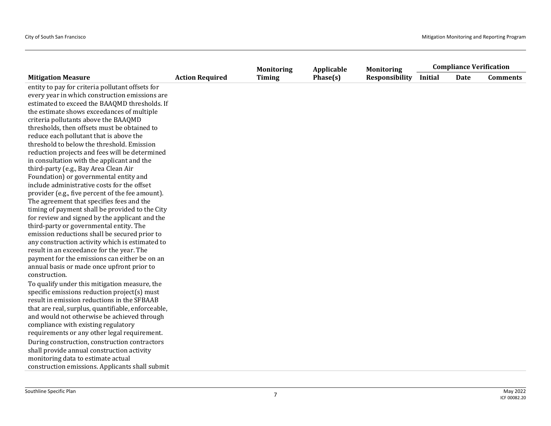|                                                    |                        | <b>Monitoring</b> | Applicable | <b>Monitoring</b>     |                | <b>Compliance Verification</b> |                 |
|----------------------------------------------------|------------------------|-------------------|------------|-----------------------|----------------|--------------------------------|-----------------|
| <b>Mitigation Measure</b>                          | <b>Action Required</b> | <b>Timing</b>     | Phase(s)   | <b>Responsibility</b> | <b>Initial</b> | Date                           | <b>Comments</b> |
| entity to pay for criteria pollutant offsets for   |                        |                   |            |                       |                |                                |                 |
| every year in which construction emissions are     |                        |                   |            |                       |                |                                |                 |
| estimated to exceed the BAAQMD thresholds. If      |                        |                   |            |                       |                |                                |                 |
| the estimate shows exceedances of multiple         |                        |                   |            |                       |                |                                |                 |
| criteria pollutants above the BAAQMD               |                        |                   |            |                       |                |                                |                 |
| thresholds, then offsets must be obtained to       |                        |                   |            |                       |                |                                |                 |
| reduce each pollutant that is above the            |                        |                   |            |                       |                |                                |                 |
| threshold to below the threshold. Emission         |                        |                   |            |                       |                |                                |                 |
| reduction projects and fees will be determined     |                        |                   |            |                       |                |                                |                 |
| in consultation with the applicant and the         |                        |                   |            |                       |                |                                |                 |
| third-party (e.g., Bay Area Clean Air              |                        |                   |            |                       |                |                                |                 |
| Foundation) or governmental entity and             |                        |                   |            |                       |                |                                |                 |
| include administrative costs for the offset        |                        |                   |            |                       |                |                                |                 |
| provider (e.g., five percent of the fee amount).   |                        |                   |            |                       |                |                                |                 |
| The agreement that specifies fees and the          |                        |                   |            |                       |                |                                |                 |
| timing of payment shall be provided to the City    |                        |                   |            |                       |                |                                |                 |
| for review and signed by the applicant and the     |                        |                   |            |                       |                |                                |                 |
| third-party or governmental entity. The            |                        |                   |            |                       |                |                                |                 |
| emission reductions shall be secured prior to      |                        |                   |            |                       |                |                                |                 |
| any construction activity which is estimated to    |                        |                   |            |                       |                |                                |                 |
| result in an exceedance for the year. The          |                        |                   |            |                       |                |                                |                 |
| payment for the emissions can either be on an      |                        |                   |            |                       |                |                                |                 |
| annual basis or made once upfront prior to         |                        |                   |            |                       |                |                                |                 |
| construction.                                      |                        |                   |            |                       |                |                                |                 |
| To qualify under this mitigation measure, the      |                        |                   |            |                       |                |                                |                 |
| specific emissions reduction project(s) must       |                        |                   |            |                       |                |                                |                 |
| result in emission reductions in the SFBAAB        |                        |                   |            |                       |                |                                |                 |
| that are real, surplus, quantifiable, enforceable, |                        |                   |            |                       |                |                                |                 |
| and would not otherwise be achieved through        |                        |                   |            |                       |                |                                |                 |
| compliance with existing regulatory                |                        |                   |            |                       |                |                                |                 |
| requirements or any other legal requirement.       |                        |                   |            |                       |                |                                |                 |
| During construction, construction contractors      |                        |                   |            |                       |                |                                |                 |
| shall provide annual construction activity         |                        |                   |            |                       |                |                                |                 |
| monitoring data to estimate actual                 |                        |                   |            |                       |                |                                |                 |
| construction emissions. Applicants shall submit    |                        |                   |            |                       |                |                                |                 |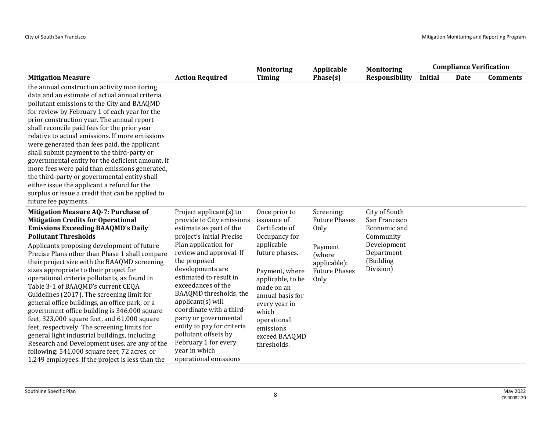|                                                                                                                                                                                                                                                                                                                                                                                                                                                                                                                                                                                                                                                                                                                                                                                                                                                                                                     |                                                                                                                                                                                                                                                                                                                                                                                                                                                                                   | <b>Monitoring</b>                                                                                                                                                                                                                                              | Applicable                                                                                                      | <b>Monitoring</b>                                                                                                  |                | <b>Compliance Verification</b> |                 |
|-----------------------------------------------------------------------------------------------------------------------------------------------------------------------------------------------------------------------------------------------------------------------------------------------------------------------------------------------------------------------------------------------------------------------------------------------------------------------------------------------------------------------------------------------------------------------------------------------------------------------------------------------------------------------------------------------------------------------------------------------------------------------------------------------------------------------------------------------------------------------------------------------------|-----------------------------------------------------------------------------------------------------------------------------------------------------------------------------------------------------------------------------------------------------------------------------------------------------------------------------------------------------------------------------------------------------------------------------------------------------------------------------------|----------------------------------------------------------------------------------------------------------------------------------------------------------------------------------------------------------------------------------------------------------------|-----------------------------------------------------------------------------------------------------------------|--------------------------------------------------------------------------------------------------------------------|----------------|--------------------------------|-----------------|
| <b>Mitigation Measure</b>                                                                                                                                                                                                                                                                                                                                                                                                                                                                                                                                                                                                                                                                                                                                                                                                                                                                           | <b>Action Required</b>                                                                                                                                                                                                                                                                                                                                                                                                                                                            | <b>Timing</b>                                                                                                                                                                                                                                                  | Phase(s)                                                                                                        | <b>Responsibility</b>                                                                                              | <b>Initial</b> | Date                           | <b>Comments</b> |
| the annual construction activity monitoring<br>data and an estimate of actual annual criteria<br>pollutant emissions to the City and BAAQMD<br>for review by February 1 of each year for the<br>prior construction year. The annual report<br>shall reconcile paid fees for the prior year<br>relative to actual emissions. If more emissions<br>were generated than fees paid, the applicant<br>shall submit payment to the third-party or<br>governmental entity for the deficient amount. If<br>more fees were paid than emissions generated,<br>the third-party or governmental entity shall<br>either issue the applicant a refund for the<br>surplus or issue a credit that can be applied to<br>future fee payments.                                                                                                                                                                         |                                                                                                                                                                                                                                                                                                                                                                                                                                                                                   |                                                                                                                                                                                                                                                                |                                                                                                                 |                                                                                                                    |                |                                |                 |
| Mitigation Measure AQ-7: Purchase of<br><b>Mitigation Credits for Operational</b><br><b>Emissions Exceeding BAAQMD's Daily</b><br><b>Pollutant Thresholds</b><br>Applicants proposing development of future<br>Precise Plans other than Phase 1 shall compare<br>their project size with the BAAQMD screening<br>sizes appropriate to their project for<br>operational criteria pollutants, as found in<br>Table 3-1 of BAAQMD's current CEQA<br>Guidelines (2017). The screening limit for<br>general office buildings, an office park, or a<br>government office building is 346,000 square<br>feet, 323,000 square feet, and 61,000 square<br>feet, respectively. The screening limits for<br>general light industrial buildings, including<br>Research and Development uses, are any of the<br>following: 541,000 square feet, 72 acres, or<br>1,249 employees. If the project is less than the | Project applicant(s) to<br>provide to City emissions<br>estimate as part of the<br>project's initial Precise<br>Plan application for<br>review and approval. If<br>the proposed<br>developments are<br>estimated to result in<br>exceedances of the<br>BAAQMD thresholds, the<br>$appliednt(s)$ will<br>coordinate with a third-<br>party or governmental<br>entity to pay for criteria<br>pollutant offsets by<br>February 1 for every<br>year in which<br>operational emissions | Once prior to<br>issuance of<br>Certificate of<br>Occupancy for<br>applicable<br>future phases.<br>Payment, where<br>applicable, to be<br>made on an<br>annual basis for<br>every year in<br>which<br>operational<br>emissions<br>exceed BAAQMD<br>thresholds. | Screening:<br><b>Future Phases</b><br>Only<br>Payment<br>(where<br>applicable):<br><b>Future Phases</b><br>Only | City of South<br>San Francisco<br>Economic and<br>Community<br>Development<br>Department<br>(Building<br>Division) |                |                                |                 |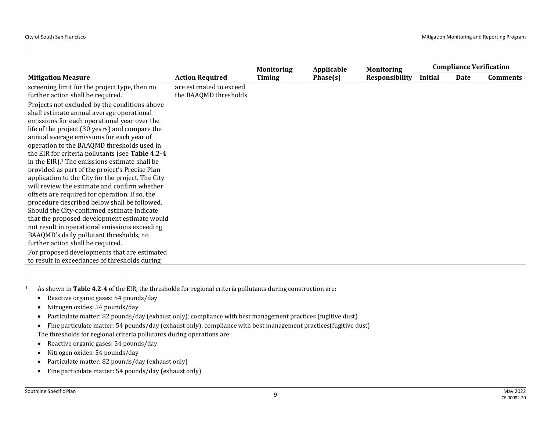|                                                                                                                                                                                                                                                                                                                                                                                                                                                                                                                                                                                                                                                                                                                                                                                                                                                                                                   |                                                   | <b>Monitoring</b> | Applicable | <b>Monitoring</b>     |                | <b>Compliance Verification</b> |                 |
|---------------------------------------------------------------------------------------------------------------------------------------------------------------------------------------------------------------------------------------------------------------------------------------------------------------------------------------------------------------------------------------------------------------------------------------------------------------------------------------------------------------------------------------------------------------------------------------------------------------------------------------------------------------------------------------------------------------------------------------------------------------------------------------------------------------------------------------------------------------------------------------------------|---------------------------------------------------|-------------------|------------|-----------------------|----------------|--------------------------------|-----------------|
| <b>Mitigation Measure</b>                                                                                                                                                                                                                                                                                                                                                                                                                                                                                                                                                                                                                                                                                                                                                                                                                                                                         | <b>Action Required</b>                            | <b>Timing</b>     | Phase(s)   | <b>Responsibility</b> | <b>Initial</b> | Date                           | <b>Comments</b> |
| screening limit for the project type, then no<br>further action shall be required.                                                                                                                                                                                                                                                                                                                                                                                                                                                                                                                                                                                                                                                                                                                                                                                                                | are estimated to exceed<br>the BAAQMD thresholds. |                   |            |                       |                |                                |                 |
| Projects not excluded by the conditions above<br>shall estimate annual average operational<br>emissions for each operational year over the<br>life of the project (30 years) and compare the<br>annual average emissions for each year of<br>operation to the BAAQMD thresholds used in<br>the EIR for criteria pollutants (see Table 4.2-4<br>in the EIR). <sup>1</sup> The emissions estimate shall be<br>provided as part of the project's Precise Plan<br>application to the City for the project. The City<br>will review the estimate and confirm whether<br>offsets are required for operation. If so, the<br>procedure described below shall be followed.<br>Should the City-confirmed estimate indicate<br>that the proposed development estimate would<br>not result in operational emissions exceeding<br>BAAQMD's daily pollutant thresholds, no<br>further action shall be required. |                                                   |                   |            |                       |                |                                |                 |
| For proposed developments that are estimated<br>to result in exceedances of thresholds during                                                                                                                                                                                                                                                                                                                                                                                                                                                                                                                                                                                                                                                                                                                                                                                                     |                                                   |                   |            |                       |                |                                |                 |

<sup>1</sup> As shown in **Table 4.2-4** of the EIR, the thresholds for regional criteria pollutants during construction are:

- Reactive organic gases: 54 pounds/day
- Nitrogen oxides: 54 pounds/day
- Particulate matter: 82 pounds/day (exhaust only); compliance with best management practices (fugitive dust)
- Fine particulate matter: 54 pounds/day (exhaust only); compliance with best management practices(fugitive dust) The thresholds for regional criteria pollutants during operations are:
- Reactive organic gases: 54 pounds/day
- Nitrogen oxides: 54 pounds/day
- Particulate matter: 82 pounds/day (exhaust only)
- Fine particulate matter: 54 pounds/day (exhaust only)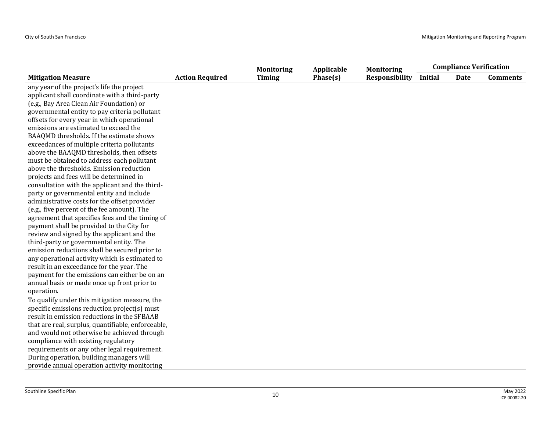|                                                    |                        | <b>Monitoring</b> | Applicable | <b>Monitoring</b>     |                | <b>Compliance Verification</b> |                 |
|----------------------------------------------------|------------------------|-------------------|------------|-----------------------|----------------|--------------------------------|-----------------|
| <b>Mitigation Measure</b>                          | <b>Action Required</b> | <b>Timing</b>     | Phase(s)   | <b>Responsibility</b> | <b>Initial</b> | Date                           | <b>Comments</b> |
| any year of the project's life the project         |                        |                   |            |                       |                |                                |                 |
| applicant shall coordinate with a third-party      |                        |                   |            |                       |                |                                |                 |
| (e.g., Bay Area Clean Air Foundation) or           |                        |                   |            |                       |                |                                |                 |
| governmental entity to pay criteria pollutant      |                        |                   |            |                       |                |                                |                 |
| offsets for every year in which operational        |                        |                   |            |                       |                |                                |                 |
| emissions are estimated to exceed the              |                        |                   |            |                       |                |                                |                 |
| BAAQMD thresholds. If the estimate shows           |                        |                   |            |                       |                |                                |                 |
| exceedances of multiple criteria pollutants        |                        |                   |            |                       |                |                                |                 |
| above the BAAQMD thresholds, then offsets          |                        |                   |            |                       |                |                                |                 |
| must be obtained to address each pollutant         |                        |                   |            |                       |                |                                |                 |
| above the thresholds. Emission reduction           |                        |                   |            |                       |                |                                |                 |
| projects and fees will be determined in            |                        |                   |            |                       |                |                                |                 |
| consultation with the applicant and the third-     |                        |                   |            |                       |                |                                |                 |
| party or governmental entity and include           |                        |                   |            |                       |                |                                |                 |
| administrative costs for the offset provider       |                        |                   |            |                       |                |                                |                 |
| (e.g., five percent of the fee amount). The        |                        |                   |            |                       |                |                                |                 |
| agreement that specifies fees and the timing of    |                        |                   |            |                       |                |                                |                 |
| payment shall be provided to the City for          |                        |                   |            |                       |                |                                |                 |
| review and signed by the applicant and the         |                        |                   |            |                       |                |                                |                 |
| third-party or governmental entity. The            |                        |                   |            |                       |                |                                |                 |
| emission reductions shall be secured prior to      |                        |                   |            |                       |                |                                |                 |
| any operational activity which is estimated to     |                        |                   |            |                       |                |                                |                 |
| result in an exceedance for the year. The          |                        |                   |            |                       |                |                                |                 |
| payment for the emissions can either be on an      |                        |                   |            |                       |                |                                |                 |
| annual basis or made once up front prior to        |                        |                   |            |                       |                |                                |                 |
| operation.                                         |                        |                   |            |                       |                |                                |                 |
| To qualify under this mitigation measure, the      |                        |                   |            |                       |                |                                |                 |
| specific emissions reduction project(s) must       |                        |                   |            |                       |                |                                |                 |
| result in emission reductions in the SFBAAB        |                        |                   |            |                       |                |                                |                 |
| that are real, surplus, quantifiable, enforceable, |                        |                   |            |                       |                |                                |                 |
| and would not otherwise be achieved through        |                        |                   |            |                       |                |                                |                 |
| compliance with existing regulatory                |                        |                   |            |                       |                |                                |                 |
| requirements or any other legal requirement.       |                        |                   |            |                       |                |                                |                 |
| During operation, building managers will           |                        |                   |            |                       |                |                                |                 |
| provide annual operation activity monitoring       |                        |                   |            |                       |                |                                |                 |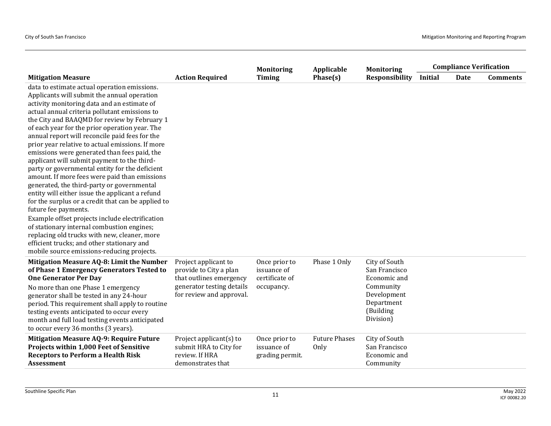|                                                                                                                                                                                                                                                                                                                                                                                                                                                                                                                                                                                                                                                                                                                                                                                                                                                                                                                                                                                                                                   |                                                                                                                                    | <b>Monitoring</b>                                            | Applicable                   | <b>Monitoring</b>                                                                                                  | <b>Compliance Verification</b> |      |                 |
|-----------------------------------------------------------------------------------------------------------------------------------------------------------------------------------------------------------------------------------------------------------------------------------------------------------------------------------------------------------------------------------------------------------------------------------------------------------------------------------------------------------------------------------------------------------------------------------------------------------------------------------------------------------------------------------------------------------------------------------------------------------------------------------------------------------------------------------------------------------------------------------------------------------------------------------------------------------------------------------------------------------------------------------|------------------------------------------------------------------------------------------------------------------------------------|--------------------------------------------------------------|------------------------------|--------------------------------------------------------------------------------------------------------------------|--------------------------------|------|-----------------|
| <b>Mitigation Measure</b>                                                                                                                                                                                                                                                                                                                                                                                                                                                                                                                                                                                                                                                                                                                                                                                                                                                                                                                                                                                                         | <b>Action Required</b>                                                                                                             | <b>Timing</b>                                                | Phase(s)                     | <b>Responsibility</b>                                                                                              | Initial                        | Date | <b>Comments</b> |
| data to estimate actual operation emissions.<br>Applicants will submit the annual operation<br>activity monitoring data and an estimate of<br>actual annual criteria pollutant emissions to<br>the City and BAAQMD for review by February 1<br>of each year for the prior operation year. The<br>annual report will reconcile paid fees for the<br>prior year relative to actual emissions. If more<br>emissions were generated than fees paid, the<br>applicant will submit payment to the third-<br>party or governmental entity for the deficient<br>amount. If more fees were paid than emissions<br>generated, the third-party or governmental<br>entity will either issue the applicant a refund<br>for the surplus or a credit that can be applied to<br>future fee payments.<br>Example offset projects include electrification<br>of stationary internal combustion engines;<br>replacing old trucks with new, cleaner, more<br>efficient trucks; and other stationary and<br>mobile source emissions-reducing projects. |                                                                                                                                    |                                                              |                              |                                                                                                                    |                                |      |                 |
| Mitigation Measure AQ-8: Limit the Number<br>of Phase 1 Emergency Generators Tested to<br><b>One Generator Per Day</b><br>No more than one Phase 1 emergency<br>generator shall be tested in any 24-hour<br>period. This requirement shall apply to routine<br>testing events anticipated to occur every<br>month and full load testing events anticipated<br>to occur every 36 months (3 years).                                                                                                                                                                                                                                                                                                                                                                                                                                                                                                                                                                                                                                 | Project applicant to<br>provide to City a plan<br>that outlines emergency<br>generator testing details<br>for review and approval. | Once prior to<br>issuance of<br>certificate of<br>occupancy. | Phase 1 Only                 | City of South<br>San Francisco<br>Economic and<br>Community<br>Development<br>Department<br>(Building<br>Division) |                                |      |                 |
| <b>Mitigation Measure AQ-9: Require Future</b><br><b>Projects within 1,000 Feet of Sensitive</b><br><b>Receptors to Perform a Health Risk</b><br><b>Assessment</b>                                                                                                                                                                                                                                                                                                                                                                                                                                                                                                                                                                                                                                                                                                                                                                                                                                                                | Project applicant(s) to<br>submit HRA to City for<br>review. If HRA<br>demonstrates that                                           | Once prior to<br>issuance of<br>grading permit.              | <b>Future Phases</b><br>Only | City of South<br>San Francisco<br>Economic and<br>Community                                                        |                                |      |                 |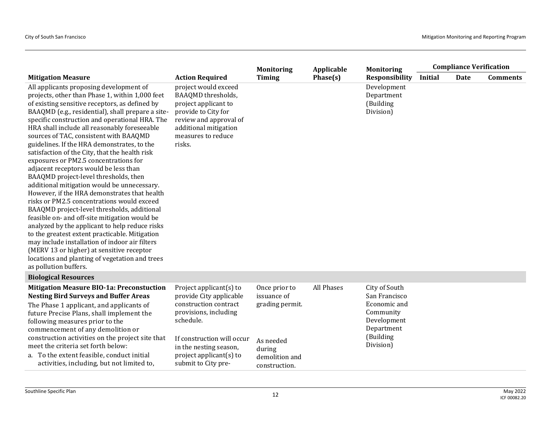|                                                                                                                                                                                                                                                                                                                                                                                                                                                                                                                                                                                                                                                                                                                                                                                                                                                                                                                                                                                                                                                                                                      |                                                                                                                                                                                                                                 | <b>Monitoring</b>                                                                                         | Applicable | <b>Monitoring</b>                                                                                                  | <b>Compliance Verification</b> |      |                 |
|------------------------------------------------------------------------------------------------------------------------------------------------------------------------------------------------------------------------------------------------------------------------------------------------------------------------------------------------------------------------------------------------------------------------------------------------------------------------------------------------------------------------------------------------------------------------------------------------------------------------------------------------------------------------------------------------------------------------------------------------------------------------------------------------------------------------------------------------------------------------------------------------------------------------------------------------------------------------------------------------------------------------------------------------------------------------------------------------------|---------------------------------------------------------------------------------------------------------------------------------------------------------------------------------------------------------------------------------|-----------------------------------------------------------------------------------------------------------|------------|--------------------------------------------------------------------------------------------------------------------|--------------------------------|------|-----------------|
| <b>Mitigation Measure</b>                                                                                                                                                                                                                                                                                                                                                                                                                                                                                                                                                                                                                                                                                                                                                                                                                                                                                                                                                                                                                                                                            | <b>Action Required</b>                                                                                                                                                                                                          | <b>Timing</b>                                                                                             | Phase(s)   | <b>Responsibility</b>                                                                                              | Initial                        | Date | <b>Comments</b> |
| All applicants proposing development of<br>projects, other than Phase 1, within 1,000 feet<br>of existing sensitive receptors, as defined by<br>BAAQMD (e.g., residential), shall prepare a site-<br>specific construction and operational HRA. The<br>HRA shall include all reasonably foreseeable<br>sources of TAC, consistent with BAAQMD<br>guidelines. If the HRA demonstrates, to the<br>satisfaction of the City, that the health risk<br>exposures or PM2.5 concentrations for<br>adjacent receptors would be less than<br>BAAQMD project-level thresholds, then<br>additional mitigation would be unnecessary.<br>However, if the HRA demonstrates that health<br>risks or PM2.5 concentrations would exceed<br>BAAQMD project-level thresholds, additional<br>feasible on- and off-site mitigation would be<br>analyzed by the applicant to help reduce risks<br>to the greatest extent practicable. Mitigation<br>may include installation of indoor air filters<br>(MERV 13 or higher) at sensitive receptor<br>locations and planting of vegetation and trees<br>as pollution buffers. | project would exceed<br>BAAQMD thresholds,<br>project applicant to<br>provide to City for<br>review and approval of<br>additional mitigation<br>measures to reduce<br>risks.                                                    |                                                                                                           |            | Development<br>Department<br>(Building<br>Division)                                                                |                                |      |                 |
| <b>Biological Resources</b>                                                                                                                                                                                                                                                                                                                                                                                                                                                                                                                                                                                                                                                                                                                                                                                                                                                                                                                                                                                                                                                                          |                                                                                                                                                                                                                                 |                                                                                                           |            |                                                                                                                    |                                |      |                 |
| <b>Mitigation Measure BIO-1a: Preconstuction</b><br><b>Nesting Bird Surveys and Buffer Areas</b><br>The Phase 1 applicant, and applicants of<br>future Precise Plans, shall implement the<br>following measures prior to the<br>commencement of any demolition or<br>construction activities on the project site that<br>meet the criteria set forth below:<br>a. To the extent feasible, conduct initial<br>activities, including, but not limited to,                                                                                                                                                                                                                                                                                                                                                                                                                                                                                                                                                                                                                                              | Project applicant(s) to<br>provide City applicable<br>construction contract<br>provisions, including<br>schedule.<br>If construction will occur<br>in the nesting season,<br>project applicant( $s$ ) to<br>submit to City pre- | Once prior to<br>issuance of<br>grading permit.<br>As needed<br>during<br>demolition and<br>construction. | All Phases | City of South<br>San Francisco<br>Economic and<br>Community<br>Development<br>Department<br>(Building<br>Division) |                                |      |                 |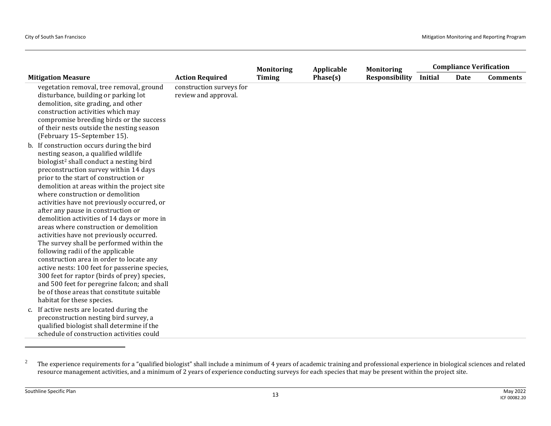|                                                                                                                                                                                                                                                       |                                                  | <b>Monitoring</b> | Applicable | <b>Monitoring</b> |                | <b>Compliance Verification</b> |                 |
|-------------------------------------------------------------------------------------------------------------------------------------------------------------------------------------------------------------------------------------------------------|--------------------------------------------------|-------------------|------------|-------------------|----------------|--------------------------------|-----------------|
| <b>Mitigation Measure</b>                                                                                                                                                                                                                             | <b>Action Required</b>                           | <b>Timing</b>     | Phase(s)   | Responsibility    | <b>Initial</b> | <b>Date</b>                    | <b>Comments</b> |
| vegetation removal, tree removal, ground<br>disturbance, building or parking lot<br>demolition, site grading, and other<br>construction activities which may<br>compromise breeding birds or the success<br>of their nests outside the nesting season | construction surveys for<br>review and approval. |                   |            |                   |                |                                |                 |
| (February 15-September 15).                                                                                                                                                                                                                           |                                                  |                   |            |                   |                |                                |                 |
| b. If construction occurs during the bird<br>nesting season, a qualified wildlife                                                                                                                                                                     |                                                  |                   |            |                   |                |                                |                 |
| biologist <sup>2</sup> shall conduct a nesting bird                                                                                                                                                                                                   |                                                  |                   |            |                   |                |                                |                 |
| preconstruction survey within 14 days                                                                                                                                                                                                                 |                                                  |                   |            |                   |                |                                |                 |
| prior to the start of construction or                                                                                                                                                                                                                 |                                                  |                   |            |                   |                |                                |                 |
| demolition at areas within the project site                                                                                                                                                                                                           |                                                  |                   |            |                   |                |                                |                 |
| where construction or demolition                                                                                                                                                                                                                      |                                                  |                   |            |                   |                |                                |                 |
| activities have not previously occurred, or                                                                                                                                                                                                           |                                                  |                   |            |                   |                |                                |                 |
| after any pause in construction or                                                                                                                                                                                                                    |                                                  |                   |            |                   |                |                                |                 |
| demolition activities of 14 days or more in                                                                                                                                                                                                           |                                                  |                   |            |                   |                |                                |                 |
| areas where construction or demolition                                                                                                                                                                                                                |                                                  |                   |            |                   |                |                                |                 |
| activities have not previously occurred.                                                                                                                                                                                                              |                                                  |                   |            |                   |                |                                |                 |
| The survey shall be performed within the                                                                                                                                                                                                              |                                                  |                   |            |                   |                |                                |                 |
| following radii of the applicable                                                                                                                                                                                                                     |                                                  |                   |            |                   |                |                                |                 |
| construction area in order to locate any                                                                                                                                                                                                              |                                                  |                   |            |                   |                |                                |                 |
| active nests: 100 feet for passerine species,                                                                                                                                                                                                         |                                                  |                   |            |                   |                |                                |                 |
| 300 feet for raptor (birds of prey) species,                                                                                                                                                                                                          |                                                  |                   |            |                   |                |                                |                 |
| and 500 feet for peregrine falcon; and shall                                                                                                                                                                                                          |                                                  |                   |            |                   |                |                                |                 |
| be of those areas that constitute suitable                                                                                                                                                                                                            |                                                  |                   |            |                   |                |                                |                 |
| habitat for these species.                                                                                                                                                                                                                            |                                                  |                   |            |                   |                |                                |                 |
| c. If active nests are located during the                                                                                                                                                                                                             |                                                  |                   |            |                   |                |                                |                 |
| preconstruction nesting bird survey, a                                                                                                                                                                                                                |                                                  |                   |            |                   |                |                                |                 |
| qualified biologist shall determine if the                                                                                                                                                                                                            |                                                  |                   |            |                   |                |                                |                 |
| schedule of construction activities could                                                                                                                                                                                                             |                                                  |                   |            |                   |                |                                |                 |

<sup>&</sup>lt;sup>2</sup> The experience requirements for a "qualified biologist" shall include a minimum of 4 years of academic training and professional experience in biological sciences and related resource management activities, and a minimum of 2 years of experience conducting surveys for each species that may be present within the project site.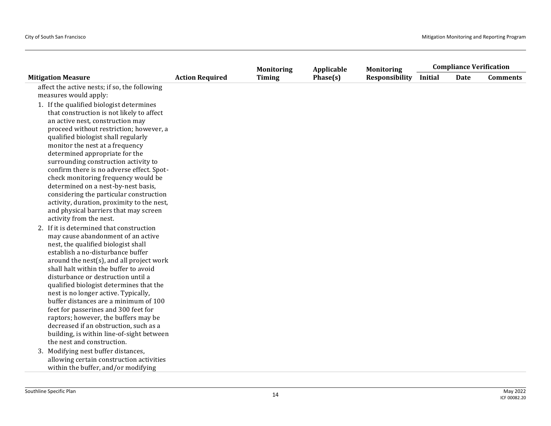|                                               |                        | <b>Monitoring</b> | Applicable | <b>Monitoring</b>     | <b>Compliance Verification</b> |             |                 |
|-----------------------------------------------|------------------------|-------------------|------------|-----------------------|--------------------------------|-------------|-----------------|
| <b>Mitigation Measure</b>                     | <b>Action Required</b> | <b>Timing</b>     | Phase(s)   | <b>Responsibility</b> | Initial                        | <b>Date</b> | <b>Comments</b> |
| affect the active nests; if so, the following |                        |                   |            |                       |                                |             |                 |
| measures would apply:                         |                        |                   |            |                       |                                |             |                 |
| 1. If the qualified biologist determines      |                        |                   |            |                       |                                |             |                 |
| that construction is not likely to affect     |                        |                   |            |                       |                                |             |                 |
| an active nest, construction may              |                        |                   |            |                       |                                |             |                 |
| proceed without restriction; however, a       |                        |                   |            |                       |                                |             |                 |
| qualified biologist shall regularly           |                        |                   |            |                       |                                |             |                 |
| monitor the nest at a frequency               |                        |                   |            |                       |                                |             |                 |
| determined appropriate for the                |                        |                   |            |                       |                                |             |                 |
| surrounding construction activity to          |                        |                   |            |                       |                                |             |                 |
| confirm there is no adverse effect. Spot-     |                        |                   |            |                       |                                |             |                 |
| check monitoring frequency would be           |                        |                   |            |                       |                                |             |                 |
| determined on a nest-by-nest basis,           |                        |                   |            |                       |                                |             |                 |
| considering the particular construction       |                        |                   |            |                       |                                |             |                 |
| activity, duration, proximity to the nest,    |                        |                   |            |                       |                                |             |                 |
| and physical barriers that may screen         |                        |                   |            |                       |                                |             |                 |
| activity from the nest.                       |                        |                   |            |                       |                                |             |                 |
| 2. If it is determined that construction      |                        |                   |            |                       |                                |             |                 |
| may cause abandonment of an active            |                        |                   |            |                       |                                |             |                 |
| nest, the qualified biologist shall           |                        |                   |            |                       |                                |             |                 |
| establish a no-disturbance buffer             |                        |                   |            |                       |                                |             |                 |
| around the nest(s), and all project work      |                        |                   |            |                       |                                |             |                 |
| shall halt within the buffer to avoid         |                        |                   |            |                       |                                |             |                 |
| disturbance or destruction until a            |                        |                   |            |                       |                                |             |                 |
| qualified biologist determines that the       |                        |                   |            |                       |                                |             |                 |
| nest is no longer active. Typically,          |                        |                   |            |                       |                                |             |                 |
| buffer distances are a minimum of 100         |                        |                   |            |                       |                                |             |                 |
| feet for passerines and 300 feet for          |                        |                   |            |                       |                                |             |                 |
| raptors; however, the buffers may be          |                        |                   |            |                       |                                |             |                 |
| decreased if an obstruction, such as a        |                        |                   |            |                       |                                |             |                 |
| building, is within line-of-sight between     |                        |                   |            |                       |                                |             |                 |
| the nest and construction.                    |                        |                   |            |                       |                                |             |                 |
| 3. Modifying nest buffer distances,           |                        |                   |            |                       |                                |             |                 |
| allowing certain construction activities      |                        |                   |            |                       |                                |             |                 |
| within the buffer, and/or modifying           |                        |                   |            |                       |                                |             |                 |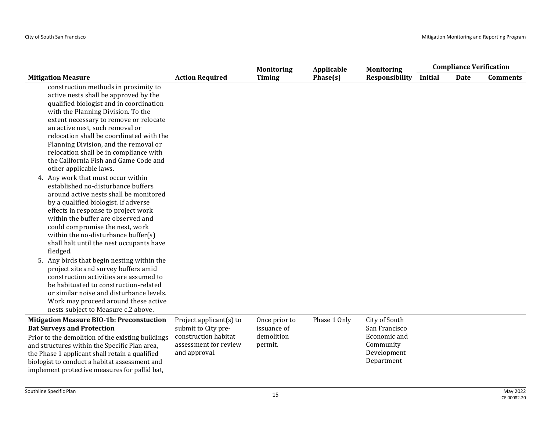|                                                                                                                                                                                                                                                                                                                                                                                                                                               |                                                                                                                  | <b>Monitoring</b><br>Applicable                       | <b>Monitoring</b> | <b>Compliance Verification</b>                                                           |                |             |                 |
|-----------------------------------------------------------------------------------------------------------------------------------------------------------------------------------------------------------------------------------------------------------------------------------------------------------------------------------------------------------------------------------------------------------------------------------------------|------------------------------------------------------------------------------------------------------------------|-------------------------------------------------------|-------------------|------------------------------------------------------------------------------------------|----------------|-------------|-----------------|
| <b>Mitigation Measure</b>                                                                                                                                                                                                                                                                                                                                                                                                                     | <b>Action Required</b>                                                                                           | <b>Timing</b>                                         | Phase(s)          | <b>Responsibility</b>                                                                    | <b>Initial</b> | <b>Date</b> | <b>Comments</b> |
| construction methods in proximity to<br>active nests shall be approved by the<br>qualified biologist and in coordination<br>with the Planning Division. To the<br>extent necessary to remove or relocate<br>an active nest, such removal or<br>relocation shall be coordinated with the<br>Planning Division, and the removal or<br>relocation shall be in compliance with<br>the California Fish and Game Code and<br>other applicable laws. |                                                                                                                  |                                                       |                   |                                                                                          |                |             |                 |
| 4. Any work that must occur within<br>established no-disturbance buffers<br>around active nests shall be monitored<br>by a qualified biologist. If adverse<br>effects in response to project work<br>within the buffer are observed and<br>could compromise the nest, work<br>within the no-disturbance buffer(s)<br>shall halt until the nest occupants have<br>fledged.                                                                     |                                                                                                                  |                                                       |                   |                                                                                          |                |             |                 |
| 5. Any birds that begin nesting within the<br>project site and survey buffers amid<br>construction activities are assumed to<br>be habituated to construction-related<br>or similar noise and disturbance levels.<br>Work may proceed around these active<br>nests subject to Measure c.2 above.                                                                                                                                              |                                                                                                                  |                                                       |                   |                                                                                          |                |             |                 |
| <b>Mitigation Measure BIO-1b: Preconstuction</b><br><b>Bat Surveys and Protection</b><br>Prior to the demolition of the existing buildings<br>and structures within the Specific Plan area,<br>the Phase 1 applicant shall retain a qualified<br>biologist to conduct a habitat assessment and<br>implement protective measures for pallid bat,                                                                                               | Project applicant(s) to<br>submit to City pre-<br>construction habitat<br>assessment for review<br>and approval. | Once prior to<br>issuance of<br>demolition<br>permit. | Phase 1 Only      | City of South<br>San Francisco<br>Economic and<br>Community<br>Development<br>Department |                |             |                 |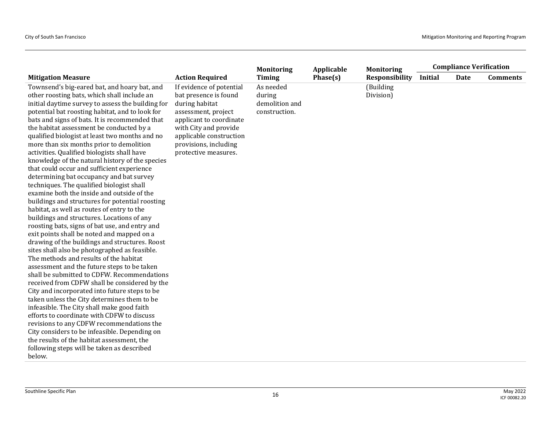|                                                   |                          | <b>Monitoring</b> | Applicable | <b>Monitoring</b> | <b>Compliance Verification</b> |      |                 |
|---------------------------------------------------|--------------------------|-------------------|------------|-------------------|--------------------------------|------|-----------------|
| <b>Mitigation Measure</b>                         | <b>Action Required</b>   | <b>Timing</b>     | Phase(s)   | Responsibility    | <b>Initial</b>                 | Date | <b>Comments</b> |
| Townsend's big-eared bat, and hoary bat, and      | If evidence of potential | As needed         |            | (Building         |                                |      |                 |
| other roosting bats, which shall include an       | bat presence is found    | during            |            | Division)         |                                |      |                 |
| initial daytime survey to assess the building for | during habitat           | demolition and    |            |                   |                                |      |                 |
| potential bat roosting habitat, and to look for   | assessment, project      | construction.     |            |                   |                                |      |                 |
| bats and signs of bats. It is recommended that    | applicant to coordinate  |                   |            |                   |                                |      |                 |
| the habitat assessment be conducted by a          | with City and provide    |                   |            |                   |                                |      |                 |
| qualified biologist at least two months and no    | applicable construction  |                   |            |                   |                                |      |                 |
| more than six months prior to demolition          | provisions, including    |                   |            |                   |                                |      |                 |
| activities. Qualified biologists shall have       | protective measures.     |                   |            |                   |                                |      |                 |
| knowledge of the natural history of the species   |                          |                   |            |                   |                                |      |                 |
| that could occur and sufficient experience        |                          |                   |            |                   |                                |      |                 |
| determining bat occupancy and bat survey          |                          |                   |            |                   |                                |      |                 |
| techniques. The qualified biologist shall         |                          |                   |            |                   |                                |      |                 |
| examine both the inside and outside of the        |                          |                   |            |                   |                                |      |                 |
| buildings and structures for potential roosting   |                          |                   |            |                   |                                |      |                 |
| habitat, as well as routes of entry to the        |                          |                   |            |                   |                                |      |                 |
| buildings and structures. Locations of any        |                          |                   |            |                   |                                |      |                 |
| roosting bats, signs of bat use, and entry and    |                          |                   |            |                   |                                |      |                 |
| exit points shall be noted and mapped on a        |                          |                   |            |                   |                                |      |                 |
| drawing of the buildings and structures. Roost    |                          |                   |            |                   |                                |      |                 |
| sites shall also be photographed as feasible.     |                          |                   |            |                   |                                |      |                 |
| The methods and results of the habitat            |                          |                   |            |                   |                                |      |                 |
| assessment and the future steps to be taken       |                          |                   |            |                   |                                |      |                 |
| shall be submitted to CDFW. Recommendations       |                          |                   |            |                   |                                |      |                 |
| received from CDFW shall be considered by the     |                          |                   |            |                   |                                |      |                 |
| City and incorporated into future steps to be     |                          |                   |            |                   |                                |      |                 |
| taken unless the City determines them to be       |                          |                   |            |                   |                                |      |                 |
| infeasible. The City shall make good faith        |                          |                   |            |                   |                                |      |                 |
| efforts to coordinate with CDFW to discuss        |                          |                   |            |                   |                                |      |                 |
| revisions to any CDFW recommendations the         |                          |                   |            |                   |                                |      |                 |
| City considers to be infeasible. Depending on     |                          |                   |            |                   |                                |      |                 |
| the results of the habitat assessment, the        |                          |                   |            |                   |                                |      |                 |
| following steps will be taken as described        |                          |                   |            |                   |                                |      |                 |
| below.                                            |                          |                   |            |                   |                                |      |                 |
|                                                   |                          |                   |            |                   |                                |      |                 |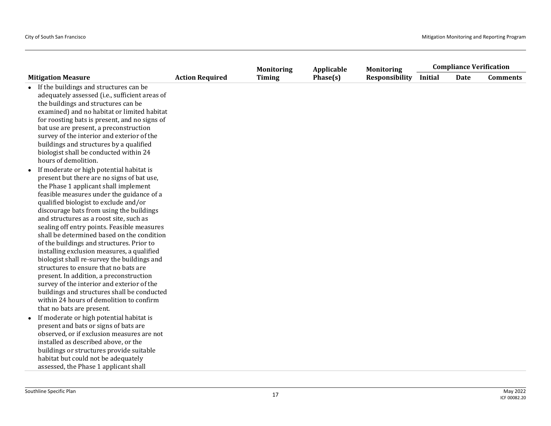|                                                                                                                                                                                                                                                                                                                                                                                                                                                                                                                                                                                                                                                                                                                                                                                                                            |                        | <b>Monitoring</b> | Applicable | <b>Monitoring</b>     | <b>Compliance Verification</b> |             |                 |
|----------------------------------------------------------------------------------------------------------------------------------------------------------------------------------------------------------------------------------------------------------------------------------------------------------------------------------------------------------------------------------------------------------------------------------------------------------------------------------------------------------------------------------------------------------------------------------------------------------------------------------------------------------------------------------------------------------------------------------------------------------------------------------------------------------------------------|------------------------|-------------------|------------|-----------------------|--------------------------------|-------------|-----------------|
| <b>Mitigation Measure</b>                                                                                                                                                                                                                                                                                                                                                                                                                                                                                                                                                                                                                                                                                                                                                                                                  | <b>Action Required</b> | <b>Timing</b>     | Phase(s)   | <b>Responsibility</b> | Initial                        | <b>Date</b> | <b>Comments</b> |
| If the buildings and structures can be<br>adequately assessed (i.e., sufficient areas of<br>the buildings and structures can be<br>examined) and no habitat or limited habitat<br>for roosting bats is present, and no signs of<br>bat use are present, a preconstruction<br>survey of the interior and exterior of the<br>buildings and structures by a qualified<br>biologist shall be conducted within 24<br>hours of demolition.                                                                                                                                                                                                                                                                                                                                                                                       |                        |                   |            |                       |                                |             |                 |
| If moderate or high potential habitat is<br>$\bullet$<br>present but there are no signs of bat use,<br>the Phase 1 applicant shall implement<br>feasible measures under the guidance of a<br>qualified biologist to exclude and/or<br>discourage bats from using the buildings<br>and structures as a roost site, such as<br>sealing off entry points. Feasible measures<br>shall be determined based on the condition<br>of the buildings and structures. Prior to<br>installing exclusion measures, a qualified<br>biologist shall re-survey the buildings and<br>structures to ensure that no bats are<br>present. In addition, a preconstruction<br>survey of the interior and exterior of the<br>buildings and structures shall be conducted<br>within 24 hours of demolition to confirm<br>that no bats are present. |                        |                   |            |                       |                                |             |                 |
| If moderate or high potential habitat is<br>$\bullet$<br>present and bats or signs of bats are<br>observed, or if exclusion measures are not<br>installed as described above, or the<br>buildings or structures provide suitable<br>habitat but could not be adequately<br>assessed, the Phase 1 applicant shall                                                                                                                                                                                                                                                                                                                                                                                                                                                                                                           |                        |                   |            |                       |                                |             |                 |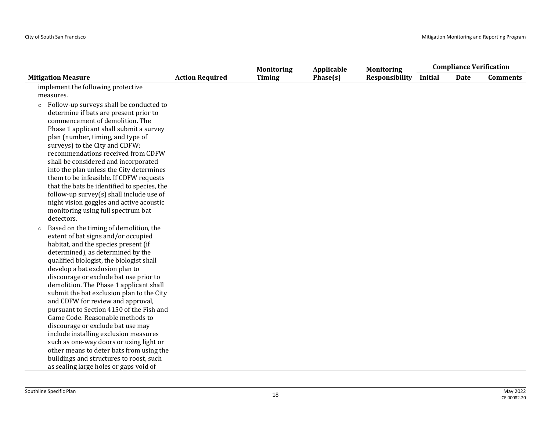|                                                                               |                        | <b>Monitoring</b> | Applicable | <b>Monitoring</b>     | <b>Compliance Verification</b> |             |                 |
|-------------------------------------------------------------------------------|------------------------|-------------------|------------|-----------------------|--------------------------------|-------------|-----------------|
| <b>Mitigation Measure</b>                                                     | <b>Action Required</b> | <b>Timing</b>     | Phase(s)   | <b>Responsibility</b> | <b>Initial</b>                 | <b>Date</b> | <b>Comments</b> |
| implement the following protective                                            |                        |                   |            |                       |                                |             |                 |
| measures.                                                                     |                        |                   |            |                       |                                |             |                 |
| Follow-up surveys shall be conducted to<br>$\circ$                            |                        |                   |            |                       |                                |             |                 |
| determine if bats are present prior to                                        |                        |                   |            |                       |                                |             |                 |
| commencement of demolition. The                                               |                        |                   |            |                       |                                |             |                 |
| Phase 1 applicant shall submit a survey                                       |                        |                   |            |                       |                                |             |                 |
| plan (number, timing, and type of                                             |                        |                   |            |                       |                                |             |                 |
| surveys) to the City and CDFW;                                                |                        |                   |            |                       |                                |             |                 |
| recommendations received from CDFW                                            |                        |                   |            |                       |                                |             |                 |
| shall be considered and incorporated                                          |                        |                   |            |                       |                                |             |                 |
| into the plan unless the City determines                                      |                        |                   |            |                       |                                |             |                 |
| them to be infeasible. If CDFW requests                                       |                        |                   |            |                       |                                |             |                 |
| that the bats be identified to species, the                                   |                        |                   |            |                       |                                |             |                 |
| follow-up survey(s) shall include use of                                      |                        |                   |            |                       |                                |             |                 |
| night vision goggles and active acoustic                                      |                        |                   |            |                       |                                |             |                 |
| monitoring using full spectrum bat                                            |                        |                   |            |                       |                                |             |                 |
| detectors.                                                                    |                        |                   |            |                       |                                |             |                 |
| Based on the timing of demolition, the<br>$\circ$                             |                        |                   |            |                       |                                |             |                 |
| extent of bat signs and/or occupied                                           |                        |                   |            |                       |                                |             |                 |
| habitat, and the species present (if                                          |                        |                   |            |                       |                                |             |                 |
| determined), as determined by the<br>qualified biologist, the biologist shall |                        |                   |            |                       |                                |             |                 |
| develop a bat exclusion plan to                                               |                        |                   |            |                       |                                |             |                 |
| discourage or exclude bat use prior to                                        |                        |                   |            |                       |                                |             |                 |
| demolition. The Phase 1 applicant shall                                       |                        |                   |            |                       |                                |             |                 |
| submit the bat exclusion plan to the City                                     |                        |                   |            |                       |                                |             |                 |
| and CDFW for review and approval,                                             |                        |                   |            |                       |                                |             |                 |
| pursuant to Section 4150 of the Fish and                                      |                        |                   |            |                       |                                |             |                 |
| Game Code. Reasonable methods to                                              |                        |                   |            |                       |                                |             |                 |
| discourage or exclude bat use may                                             |                        |                   |            |                       |                                |             |                 |
| include installing exclusion measures                                         |                        |                   |            |                       |                                |             |                 |
| such as one-way doors or using light or                                       |                        |                   |            |                       |                                |             |                 |
| other means to deter bats from using the                                      |                        |                   |            |                       |                                |             |                 |
| buildings and structures to roost, such                                       |                        |                   |            |                       |                                |             |                 |
| as sealing large holes or gaps void of                                        |                        |                   |            |                       |                                |             |                 |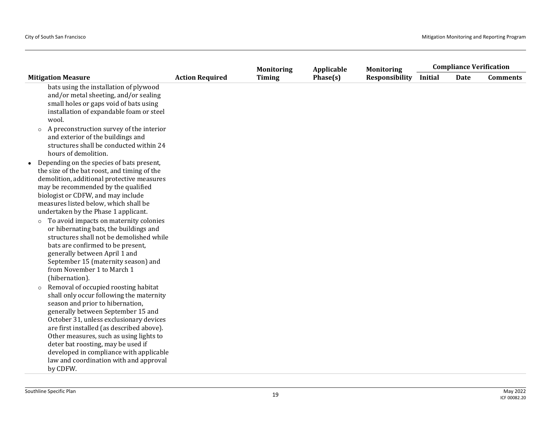|                                                                                                                                                                                                                                                                                                                                                                                                                                                                                                                                                                                                                                                                                                                                                                                                                                                                                  |                        | <b>Monitoring</b> | Applicable | <b>Monitoring</b>     | <b>Compliance Verification</b> |             |                 |
|----------------------------------------------------------------------------------------------------------------------------------------------------------------------------------------------------------------------------------------------------------------------------------------------------------------------------------------------------------------------------------------------------------------------------------------------------------------------------------------------------------------------------------------------------------------------------------------------------------------------------------------------------------------------------------------------------------------------------------------------------------------------------------------------------------------------------------------------------------------------------------|------------------------|-------------------|------------|-----------------------|--------------------------------|-------------|-----------------|
| <b>Mitigation Measure</b>                                                                                                                                                                                                                                                                                                                                                                                                                                                                                                                                                                                                                                                                                                                                                                                                                                                        | <b>Action Required</b> | <b>Timing</b>     | Phase(s)   | <b>Responsibility</b> | Initial                        | <b>Date</b> | <b>Comments</b> |
| bats using the installation of plywood<br>and/or metal sheeting, and/or sealing<br>small holes or gaps void of bats using<br>installation of expandable foam or steel<br>wool.                                                                                                                                                                                                                                                                                                                                                                                                                                                                                                                                                                                                                                                                                                   |                        |                   |            |                       |                                |             |                 |
| A preconstruction survey of the interior<br>$\circ$<br>and exterior of the buildings and<br>structures shall be conducted within 24<br>hours of demolition.                                                                                                                                                                                                                                                                                                                                                                                                                                                                                                                                                                                                                                                                                                                      |                        |                   |            |                       |                                |             |                 |
| • Depending on the species of bats present,<br>the size of the bat roost, and timing of the<br>demolition, additional protective measures<br>may be recommended by the qualified<br>biologist or CDFW, and may include<br>measures listed below, which shall be<br>undertaken by the Phase 1 applicant.<br>To avoid impacts on maternity colonies<br>$\circ$<br>or hibernating bats, the buildings and<br>structures shall not be demolished while<br>bats are confirmed to be present,<br>generally between April 1 and<br>September 15 (maternity season) and<br>from November 1 to March 1<br>(hibernation).<br>Removal of occupied roosting habitat<br>$\circ$<br>shall only occur following the maternity<br>season and prior to hibernation,<br>generally between September 15 and<br>October 31, unless exclusionary devices<br>are first installed (as described above). |                        |                   |            |                       |                                |             |                 |
| Other measures, such as using lights to<br>deter bat roosting, may be used if<br>developed in compliance with applicable<br>law and coordination with and approval<br>by CDFW.                                                                                                                                                                                                                                                                                                                                                                                                                                                                                                                                                                                                                                                                                                   |                        |                   |            |                       |                                |             |                 |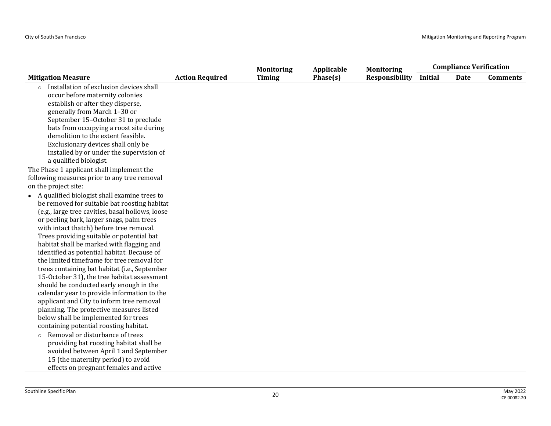|                                                                                                                                                                                                                                                                                                                                                                                                                                                                                                                                                                                                                                                                                                                                                                                                         |                        | <b>Monitoring</b> | Applicable | <b>Monitoring</b>     |                | <b>Compliance Verification</b> |                 |
|---------------------------------------------------------------------------------------------------------------------------------------------------------------------------------------------------------------------------------------------------------------------------------------------------------------------------------------------------------------------------------------------------------------------------------------------------------------------------------------------------------------------------------------------------------------------------------------------------------------------------------------------------------------------------------------------------------------------------------------------------------------------------------------------------------|------------------------|-------------------|------------|-----------------------|----------------|--------------------------------|-----------------|
| <b>Mitigation Measure</b>                                                                                                                                                                                                                                                                                                                                                                                                                                                                                                                                                                                                                                                                                                                                                                               | <b>Action Required</b> | <b>Timing</b>     | Phase(s)   | <b>Responsibility</b> | <b>Initial</b> | Date                           | <b>Comments</b> |
| Installation of exclusion devices shall<br>occur before maternity colonies<br>establish or after they disperse,<br>generally from March 1-30 or<br>September 15-October 31 to preclude<br>bats from occupying a roost site during<br>demolition to the extent feasible.<br>Exclusionary devices shall only be<br>installed by or under the supervision of<br>a qualified biologist.                                                                                                                                                                                                                                                                                                                                                                                                                     |                        |                   |            |                       |                |                                |                 |
| The Phase 1 applicant shall implement the                                                                                                                                                                                                                                                                                                                                                                                                                                                                                                                                                                                                                                                                                                                                                               |                        |                   |            |                       |                |                                |                 |
| following measures prior to any tree removal                                                                                                                                                                                                                                                                                                                                                                                                                                                                                                                                                                                                                                                                                                                                                            |                        |                   |            |                       |                |                                |                 |
| on the project site:                                                                                                                                                                                                                                                                                                                                                                                                                                                                                                                                                                                                                                                                                                                                                                                    |                        |                   |            |                       |                |                                |                 |
| • A qualified biologist shall examine trees to<br>be removed for suitable bat roosting habitat<br>(e.g., large tree cavities, basal hollows, loose<br>or peeling bark, larger snags, palm trees<br>with intact thatch) before tree removal.<br>Trees providing suitable or potential bat<br>habitat shall be marked with flagging and<br>identified as potential habitat. Because of<br>the limited timeframe for tree removal for<br>trees containing bat habitat (i.e., September<br>15-October 31), the tree habitat assessment<br>should be conducted early enough in the<br>calendar year to provide information to the<br>applicant and City to inform tree removal<br>planning. The protective measures listed<br>below shall be implemented for trees<br>containing potential roosting habitat. |                        |                   |            |                       |                |                                |                 |
| Removal or disturbance of trees<br>$\circ$<br>providing bat roosting habitat shall be<br>avoided between April 1 and September<br>15 (the maternity period) to avoid<br>effects on pregnant females and active                                                                                                                                                                                                                                                                                                                                                                                                                                                                                                                                                                                          |                        |                   |            |                       |                |                                |                 |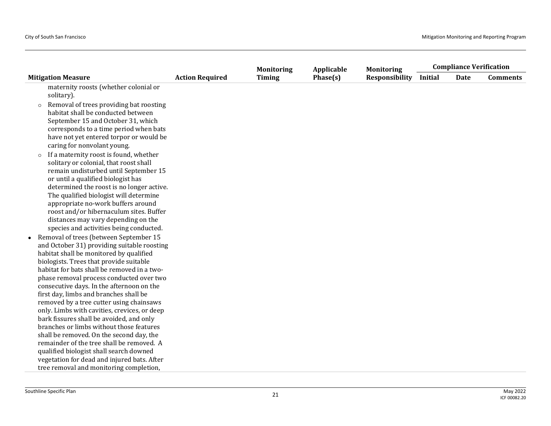|                                                                                                                                                                                                                                                                                                                                                                                                                                                                                                                                                                                                                                             |                        | <b>Monitoring</b> | Applicable | <b>Monitoring</b>     | <b>Compliance Verification</b> |             |                 |
|---------------------------------------------------------------------------------------------------------------------------------------------------------------------------------------------------------------------------------------------------------------------------------------------------------------------------------------------------------------------------------------------------------------------------------------------------------------------------------------------------------------------------------------------------------------------------------------------------------------------------------------------|------------------------|-------------------|------------|-----------------------|--------------------------------|-------------|-----------------|
| <b>Mitigation Measure</b>                                                                                                                                                                                                                                                                                                                                                                                                                                                                                                                                                                                                                   | <b>Action Required</b> | <b>Timing</b>     | Phase(s)   | <b>Responsibility</b> | Initial                        | <b>Date</b> | <b>Comments</b> |
| maternity roosts (whether colonial or<br>solitary).<br>Removal of trees providing bat roosting<br>$\circ$<br>habitat shall be conducted between<br>September 15 and October 31, which<br>corresponds to a time period when bats<br>have not yet entered torpor or would be<br>caring for nonvolant young.                                                                                                                                                                                                                                                                                                                                   |                        |                   |            |                       |                                |             |                 |
| If a maternity roost is found, whether<br>$\circ$<br>solitary or colonial, that roost shall<br>remain undisturbed until September 15<br>or until a qualified biologist has<br>determined the roost is no longer active.<br>The qualified biologist will determine<br>appropriate no-work buffers around<br>roost and/or hibernaculum sites. Buffer<br>distances may vary depending on the<br>species and activities being conducted.<br>• Removal of trees (between September 15                                                                                                                                                            |                        |                   |            |                       |                                |             |                 |
| and October 31) providing suitable roosting<br>habitat shall be monitored by qualified<br>biologists. Trees that provide suitable<br>habitat for bats shall be removed in a two-<br>phase removal process conducted over two<br>consecutive days. In the afternoon on the<br>first day, limbs and branches shall be<br>removed by a tree cutter using chainsaws<br>only. Limbs with cavities, crevices, or deep<br>bark fissures shall be avoided, and only<br>branches or limbs without those features<br>shall be removed. On the second day, the<br>remainder of the tree shall be removed. A<br>qualified biologist shall search downed |                        |                   |            |                       |                                |             |                 |
| vegetation for dead and injured bats. After<br>tree removal and monitoring completion,                                                                                                                                                                                                                                                                                                                                                                                                                                                                                                                                                      |                        |                   |            |                       |                                |             |                 |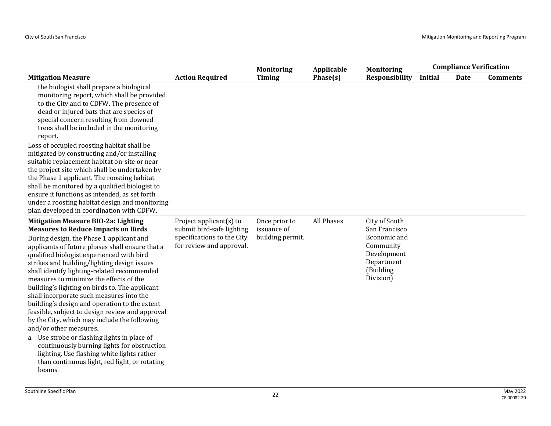|                                                                                                                                                                                                                                                                                                                                                                                                                                                                                                                                                                                                                                                           |                                                                                                                | <b>Monitoring</b>                                | Applicable | <b>Monitoring</b>                                                                                                  | <b>Compliance Verification</b> |             |                 |
|-----------------------------------------------------------------------------------------------------------------------------------------------------------------------------------------------------------------------------------------------------------------------------------------------------------------------------------------------------------------------------------------------------------------------------------------------------------------------------------------------------------------------------------------------------------------------------------------------------------------------------------------------------------|----------------------------------------------------------------------------------------------------------------|--------------------------------------------------|------------|--------------------------------------------------------------------------------------------------------------------|--------------------------------|-------------|-----------------|
| <b>Mitigation Measure</b>                                                                                                                                                                                                                                                                                                                                                                                                                                                                                                                                                                                                                                 | <b>Action Required</b>                                                                                         | <b>Timing</b>                                    | Phase(s)   | <b>Responsibility</b>                                                                                              | <b>Initial</b>                 | <b>Date</b> | <b>Comments</b> |
| the biologist shall prepare a biological<br>monitoring report, which shall be provided<br>to the City and to CDFW. The presence of<br>dead or injured bats that are species of<br>special concern resulting from downed<br>trees shall be included in the monitoring<br>report.                                                                                                                                                                                                                                                                                                                                                                           |                                                                                                                |                                                  |            |                                                                                                                    |                                |             |                 |
| Loss of occupied roosting habitat shall be<br>mitigated by constructing and/or installing<br>suitable replacement habitat on-site or near<br>the project site which shall be undertaken by<br>the Phase 1 applicant. The roosting habitat<br>shall be monitored by a qualified biologist to<br>ensure it functions as intended, as set forth<br>under a roosting habitat design and monitoring<br>plan developed in coordination with CDFW.                                                                                                                                                                                                               |                                                                                                                |                                                  |            |                                                                                                                    |                                |             |                 |
| <b>Mitigation Measure BIO-2a: Lighting</b><br><b>Measures to Reduce Impacts on Birds</b><br>During design, the Phase 1 applicant and<br>applicants of future phases shall ensure that a<br>qualified biologist experienced with bird<br>strikes and building/lighting design issues<br>shall identify lighting-related recommended<br>measures to minimize the effects of the<br>building's lighting on birds to. The applicant<br>shall incorporate such measures into the<br>building's design and operation to the extent<br>feasible, subject to design review and approval<br>by the City, which may include the following<br>and/or other measures. | Project applicant(s) to<br>submit bird-safe lighting<br>specifications to the City<br>for review and approval. | Once prior to<br>issuance of<br>building permit. | All Phases | City of South<br>San Francisco<br>Economic and<br>Community<br>Development<br>Department<br>(Building<br>Division) |                                |             |                 |
| a. Use strobe or flashing lights in place of<br>continuously burning lights for obstruction<br>lighting. Use flashing white lights rather<br>than continuous light, red light, or rotating<br>beams.                                                                                                                                                                                                                                                                                                                                                                                                                                                      |                                                                                                                |                                                  |            |                                                                                                                    |                                |             |                 |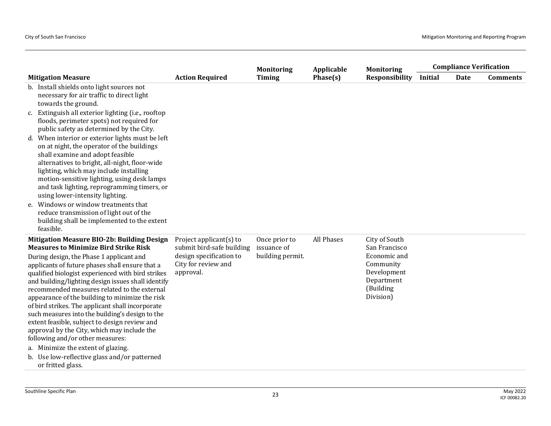|                                                                                                                                                                                                                                                                                                                                                                                                                                                                                                                                                                                                                                                                                                                                                                               |                                                                                                                        | <b>Monitoring</b>                                | Applicable | <b>Monitoring</b>                                                                                                  | <b>Compliance Verification</b> |      |                 |
|-------------------------------------------------------------------------------------------------------------------------------------------------------------------------------------------------------------------------------------------------------------------------------------------------------------------------------------------------------------------------------------------------------------------------------------------------------------------------------------------------------------------------------------------------------------------------------------------------------------------------------------------------------------------------------------------------------------------------------------------------------------------------------|------------------------------------------------------------------------------------------------------------------------|--------------------------------------------------|------------|--------------------------------------------------------------------------------------------------------------------|--------------------------------|------|-----------------|
| <b>Mitigation Measure</b>                                                                                                                                                                                                                                                                                                                                                                                                                                                                                                                                                                                                                                                                                                                                                     | <b>Action Required</b>                                                                                                 | <b>Timing</b>                                    | Phase(s)   | <b>Responsibility</b>                                                                                              | Initial                        | Date | <b>Comments</b> |
| b. Install shields onto light sources not<br>necessary for air traffic to direct light<br>towards the ground.<br>c. Extinguish all exterior lighting (i.e., rooftop<br>floods, perimeter spots) not required for<br>public safety as determined by the City.<br>d. When interior or exterior lights must be left<br>on at night, the operator of the buildings<br>shall examine and adopt feasible<br>alternatives to bright, all-night, floor-wide<br>lighting, which may include installing<br>motion-sensitive lighting, using desk lamps<br>and task lighting, reprogramming timers, or<br>using lower-intensity lighting.<br>e. Windows or window treatments that<br>reduce transmission of light out of the<br>building shall be implemented to the extent<br>feasible. |                                                                                                                        |                                                  |            |                                                                                                                    |                                |      |                 |
| <b>Mitigation Measure BIO-2b: Building Design</b><br><b>Measures to Minimize Bird Strike Risk</b><br>During design, the Phase 1 applicant and<br>applicants of future phases shall ensure that a<br>qualified biologist experienced with bird strikes<br>and building/lighting design issues shall identify<br>recommended measures related to the external<br>appearance of the building to minimize the risk<br>of bird strikes. The applicant shall incorporate<br>such measures into the building's design to the<br>extent feasible, subject to design review and<br>approval by the City, which may include the<br>following and/or other measures:<br>a. Minimize the extent of glazing.<br>b. Use low-reflective glass and/or patterned<br>or fritted glass.          | Project applicant $(s)$ to<br>submit bird-safe building<br>design specification to<br>City for review and<br>approval. | Once prior to<br>issuance of<br>building permit. | All Phases | City of South<br>San Francisco<br>Economic and<br>Community<br>Development<br>Department<br>(Building<br>Division) |                                |      |                 |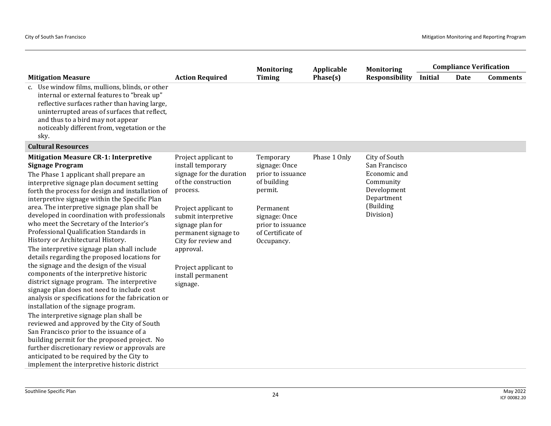|                                                                                                                                                                                                                                                                                                                                                                                                                                                                                                                                                                                                                                                                                                                                                                                                                                                                                                                                                                                                                                                                                                                                                                                                                  |                                                                                                                                                                                                                                                                                                  | <b>Monitoring</b>                                                                                                                                               | Applicable   | <b>Monitoring</b>                                                                                                  | <b>Compliance Verification</b> |             |                 |  |
|------------------------------------------------------------------------------------------------------------------------------------------------------------------------------------------------------------------------------------------------------------------------------------------------------------------------------------------------------------------------------------------------------------------------------------------------------------------------------------------------------------------------------------------------------------------------------------------------------------------------------------------------------------------------------------------------------------------------------------------------------------------------------------------------------------------------------------------------------------------------------------------------------------------------------------------------------------------------------------------------------------------------------------------------------------------------------------------------------------------------------------------------------------------------------------------------------------------|--------------------------------------------------------------------------------------------------------------------------------------------------------------------------------------------------------------------------------------------------------------------------------------------------|-----------------------------------------------------------------------------------------------------------------------------------------------------------------|--------------|--------------------------------------------------------------------------------------------------------------------|--------------------------------|-------------|-----------------|--|
| <b>Mitigation Measure</b>                                                                                                                                                                                                                                                                                                                                                                                                                                                                                                                                                                                                                                                                                                                                                                                                                                                                                                                                                                                                                                                                                                                                                                                        | <b>Action Required</b>                                                                                                                                                                                                                                                                           | <b>Timing</b>                                                                                                                                                   | Phase(s)     | <b>Responsibility</b>                                                                                              | <b>Initial</b>                 | <b>Date</b> | <b>Comments</b> |  |
| c. Use window films, mullions, blinds, or other<br>internal or external features to "break up"<br>reflective surfaces rather than having large,<br>uninterrupted areas of surfaces that reflect,<br>and thus to a bird may not appear<br>noticeably different from, vegetation or the<br>sky.                                                                                                                                                                                                                                                                                                                                                                                                                                                                                                                                                                                                                                                                                                                                                                                                                                                                                                                    |                                                                                                                                                                                                                                                                                                  |                                                                                                                                                                 |              |                                                                                                                    |                                |             |                 |  |
| <b>Cultural Resources</b>                                                                                                                                                                                                                                                                                                                                                                                                                                                                                                                                                                                                                                                                                                                                                                                                                                                                                                                                                                                                                                                                                                                                                                                        |                                                                                                                                                                                                                                                                                                  |                                                                                                                                                                 |              |                                                                                                                    |                                |             |                 |  |
| <b>Mitigation Measure CR-1: Interpretive</b><br><b>Signage Program</b><br>The Phase 1 applicant shall prepare an<br>interpretive signage plan document setting<br>forth the process for design and installation of<br>interpretive signage within the Specific Plan<br>area. The interpretive signage plan shall be<br>developed in coordination with professionals<br>who meet the Secretary of the Interior's<br>Professional Qualification Standards in<br>History or Architectural History.<br>The interpretive signage plan shall include<br>details regarding the proposed locations for<br>the signage and the design of the visual<br>components of the interpretive historic<br>district signage program. The interpretive<br>signage plan does not need to include cost<br>analysis or specifications for the fabrication or<br>installation of the signage program.<br>The interpretive signage plan shall be<br>reviewed and approved by the City of South<br>San Francisco prior to the issuance of a<br>building permit for the proposed project. No<br>further discretionary review or approvals are<br>anticipated to be required by the City to<br>implement the interpretive historic district | Project applicant to<br>install temporary<br>signage for the duration<br>of the construction<br>process.<br>Project applicant to<br>submit interpretive<br>signage plan for<br>permanent signage to<br>City for review and<br>approval.<br>Project applicant to<br>install permanent<br>signage. | Temporary<br>signage: Once<br>prior to issuance<br>of building<br>permit.<br>Permanent<br>signage: Once<br>prior to issuance<br>of Certificate of<br>Occupancy. | Phase 1 Only | City of South<br>San Francisco<br>Economic and<br>Community<br>Development<br>Department<br>(Building<br>Division) |                                |             |                 |  |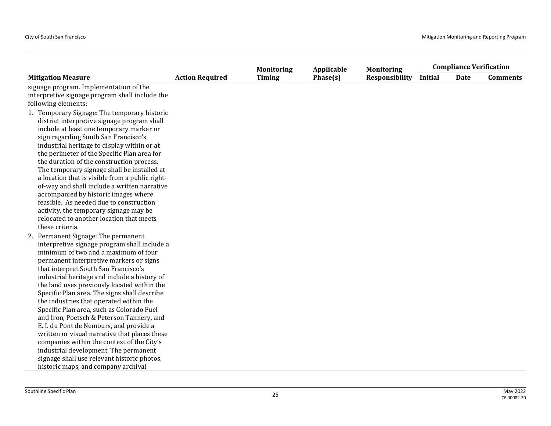|                                                                                                                                                                                                                                                                                                                                                                                                                                                                                                                                                                                                                                                                                                                                                                             |                        | <b>Monitoring</b> | Applicable | <b>Monitoring</b>     | <b>Compliance Verification</b> |      |                 |
|-----------------------------------------------------------------------------------------------------------------------------------------------------------------------------------------------------------------------------------------------------------------------------------------------------------------------------------------------------------------------------------------------------------------------------------------------------------------------------------------------------------------------------------------------------------------------------------------------------------------------------------------------------------------------------------------------------------------------------------------------------------------------------|------------------------|-------------------|------------|-----------------------|--------------------------------|------|-----------------|
| <b>Mitigation Measure</b>                                                                                                                                                                                                                                                                                                                                                                                                                                                                                                                                                                                                                                                                                                                                                   | <b>Action Required</b> | <b>Timing</b>     | Phase(s)   | <b>Responsibility</b> | <b>Initial</b>                 | Date | <b>Comments</b> |
| signage program. Implementation of the<br>interpretive signage program shall include the                                                                                                                                                                                                                                                                                                                                                                                                                                                                                                                                                                                                                                                                                    |                        |                   |            |                       |                                |      |                 |
| following elements:                                                                                                                                                                                                                                                                                                                                                                                                                                                                                                                                                                                                                                                                                                                                                         |                        |                   |            |                       |                                |      |                 |
| 1. Temporary Signage: The temporary historic<br>district interpretive signage program shall<br>include at least one temporary marker or<br>sign regarding South San Francisco's<br>industrial heritage to display within or at<br>the perimeter of the Specific Plan area for<br>the duration of the construction process.<br>The temporary signage shall be installed at<br>a location that is visible from a public right-<br>of-way and shall include a written narrative<br>accompanied by historic images where<br>feasible. As needed due to construction<br>activity, the temporary signage may be<br>relocated to another location that meets<br>these criteria.                                                                                                    |                        |                   |            |                       |                                |      |                 |
| 2. Permanent Signage: The permanent<br>interpretive signage program shall include a<br>minimum of two and a maximum of four<br>permanent interpretive markers or signs<br>that interpret South San Francisco's<br>industrial heritage and include a history of<br>the land uses previously located within the<br>Specific Plan area. The signs shall describe<br>the industries that operated within the<br>Specific Plan area, such as Colorado Fuel<br>and Iron, Poetsch & Peterson Tannery, and<br>E. I. du Pont de Nemours, and provide a<br>written or visual narrative that places these<br>companies within the context of the City's<br>industrial development. The permanent<br>signage shall use relevant historic photos,<br>historic maps, and company archival |                        |                   |            |                       |                                |      |                 |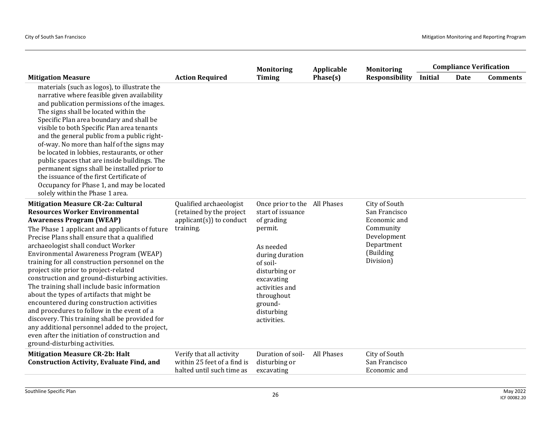|                                                                                                                                                                                                                                                                                                                                                                                                                                                                                                                                                                                                                                                                                                                                                                                                                                     |                                                                                               | <b>Monitoring</b>                                                                                                                                                                                                             | Applicable | <b>Monitoring</b>                                                                                                  | <b>Compliance Verification</b> |             |                 |
|-------------------------------------------------------------------------------------------------------------------------------------------------------------------------------------------------------------------------------------------------------------------------------------------------------------------------------------------------------------------------------------------------------------------------------------------------------------------------------------------------------------------------------------------------------------------------------------------------------------------------------------------------------------------------------------------------------------------------------------------------------------------------------------------------------------------------------------|-----------------------------------------------------------------------------------------------|-------------------------------------------------------------------------------------------------------------------------------------------------------------------------------------------------------------------------------|------------|--------------------------------------------------------------------------------------------------------------------|--------------------------------|-------------|-----------------|
| <b>Mitigation Measure</b>                                                                                                                                                                                                                                                                                                                                                                                                                                                                                                                                                                                                                                                                                                                                                                                                           | <b>Action Required</b>                                                                        | <b>Timing</b>                                                                                                                                                                                                                 | Phase(s)   | <b>Responsibility</b>                                                                                              | Initial                        | <b>Date</b> | <b>Comments</b> |
| materials (such as logos), to illustrate the<br>narrative where feasible given availability<br>and publication permissions of the images.<br>The signs shall be located within the<br>Specific Plan area boundary and shall be<br>visible to both Specific Plan area tenants<br>and the general public from a public right-<br>of-way. No more than half of the signs may<br>be located in lobbies, restaurants, or other<br>public spaces that are inside buildings. The<br>permanent signs shall be installed prior to<br>the issuance of the first Certificate of<br>Occupancy for Phase 1, and may be located<br>solely within the Phase 1 area.                                                                                                                                                                                |                                                                                               |                                                                                                                                                                                                                               |            |                                                                                                                    |                                |             |                 |
| <b>Mitigation Measure CR-2a: Cultural</b><br><b>Resources Worker Environmental</b><br><b>Awareness Program (WEAP)</b><br>The Phase 1 applicant and applicants of future<br>Precise Plans shall ensure that a qualified<br>archaeologist shall conduct Worker<br>Environmental Awareness Program (WEAP)<br>training for all construction personnel on the<br>project site prior to project-related<br>construction and ground-disturbing activities.<br>The training shall include basic information<br>about the types of artifacts that might be<br>encountered during construction activities<br>and procedures to follow in the event of a<br>discovery. This training shall be provided for<br>any additional personnel added to the project,<br>even after the initiation of construction and<br>ground-disturbing activities. | Qualified archaeologist<br>(retained by the project<br>$appliednt(s)$ to conduct<br>training. | Once prior to the All Phases<br>start of issuance<br>of grading<br>permit.<br>As needed<br>during duration<br>of soil-<br>disturbing or<br>excavating<br>activities and<br>throughout<br>ground-<br>disturbing<br>activities. |            | City of South<br>San Francisco<br>Economic and<br>Community<br>Development<br>Department<br>(Building<br>Division) |                                |             |                 |
| <b>Mitigation Measure CR-2b: Halt</b><br><b>Construction Activity, Evaluate Find, and</b>                                                                                                                                                                                                                                                                                                                                                                                                                                                                                                                                                                                                                                                                                                                                           | Verify that all activity<br>within 25 feet of a find is<br>halted until such time as          | Duration of soil-<br>disturbing or<br>excavating                                                                                                                                                                              | All Phases | City of South<br>San Francisco<br>Economic and                                                                     |                                |             |                 |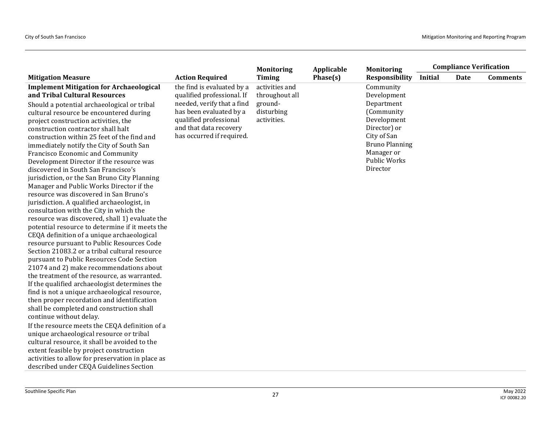| Phase(s)<br><b>Responsibility</b><br><b>Initial</b><br><b>Action Required</b><br><b>Timing</b><br><b>Date</b><br><b>Comments</b><br><b>Mitigation Measure</b><br>the find is evaluated by a<br><b>Implement Mitigation for Archaeological</b><br>activities and<br>Community<br>and Tribal Cultural Resources<br>qualified professional. If<br>throughout all<br>Development<br>needed, verify that a find<br>ground-<br>Department<br>Should a potential archaeological or tribal<br>has been evaluated by a<br>disturbing<br>(Community<br>cultural resource be encountered during<br>qualified professional<br>Development<br>activities.<br>project construction activities, the<br>and that data recovery<br>Director) or<br>construction contractor shall halt<br>has occurred if required.<br>City of San<br>construction within 25 feet of the find and<br><b>Bruno Planning</b><br>immediately notify the City of South San<br>Manager or<br>Francisco Economic and Community<br>Public Works<br>Development Director if the resource was<br>Director<br>discovered in South San Francisco's<br>jurisdiction, or the San Bruno City Planning<br>Manager and Public Works Director if the<br>resource was discovered in San Bruno's<br>jurisdiction. A qualified archaeologist, in<br>consultation with the City in which the<br>resource was discovered, shall 1) evaluate the<br>potential resource to determine if it meets the<br>CEQA definition of a unique archaeological<br>resource pursuant to Public Resources Code<br>Section 21083.2 or a tribal cultural resource<br>pursuant to Public Resources Code Section<br>21074 and 2) make recommendations about<br>the treatment of the resource, as warranted.<br>If the qualified archaeologist determines the<br>find is not a unique archaeological resource,<br>then proper recordation and identification<br>shall be completed and construction shall<br>continue without delay.<br>If the resource meets the CEQA definition of a<br>unique archaeological resource or tribal<br>cultural resource, it shall be avoided to the<br>extent feasible by project construction<br>activities to allow for preservation in place as |                                         | <b>Monitoring</b> | Applicable | <b>Monitoring</b> |  |                                |  |
|-------------------------------------------------------------------------------------------------------------------------------------------------------------------------------------------------------------------------------------------------------------------------------------------------------------------------------------------------------------------------------------------------------------------------------------------------------------------------------------------------------------------------------------------------------------------------------------------------------------------------------------------------------------------------------------------------------------------------------------------------------------------------------------------------------------------------------------------------------------------------------------------------------------------------------------------------------------------------------------------------------------------------------------------------------------------------------------------------------------------------------------------------------------------------------------------------------------------------------------------------------------------------------------------------------------------------------------------------------------------------------------------------------------------------------------------------------------------------------------------------------------------------------------------------------------------------------------------------------------------------------------------------------------------------------------------------------------------------------------------------------------------------------------------------------------------------------------------------------------------------------------------------------------------------------------------------------------------------------------------------------------------------------------------------------------------------------------------------------------------------------------------------------------------------------------------------------|-----------------------------------------|-------------------|------------|-------------------|--|--------------------------------|--|
|                                                                                                                                                                                                                                                                                                                                                                                                                                                                                                                                                                                                                                                                                                                                                                                                                                                                                                                                                                                                                                                                                                                                                                                                                                                                                                                                                                                                                                                                                                                                                                                                                                                                                                                                                                                                                                                                                                                                                                                                                                                                                                                                                                                                       |                                         |                   |            |                   |  |                                |  |
|                                                                                                                                                                                                                                                                                                                                                                                                                                                                                                                                                                                                                                                                                                                                                                                                                                                                                                                                                                                                                                                                                                                                                                                                                                                                                                                                                                                                                                                                                                                                                                                                                                                                                                                                                                                                                                                                                                                                                                                                                                                                                                                                                                                                       |                                         |                   |            |                   |  | <b>Compliance Verification</b> |  |
|                                                                                                                                                                                                                                                                                                                                                                                                                                                                                                                                                                                                                                                                                                                                                                                                                                                                                                                                                                                                                                                                                                                                                                                                                                                                                                                                                                                                                                                                                                                                                                                                                                                                                                                                                                                                                                                                                                                                                                                                                                                                                                                                                                                                       |                                         |                   |            |                   |  |                                |  |
|                                                                                                                                                                                                                                                                                                                                                                                                                                                                                                                                                                                                                                                                                                                                                                                                                                                                                                                                                                                                                                                                                                                                                                                                                                                                                                                                                                                                                                                                                                                                                                                                                                                                                                                                                                                                                                                                                                                                                                                                                                                                                                                                                                                                       |                                         |                   |            |                   |  |                                |  |
|                                                                                                                                                                                                                                                                                                                                                                                                                                                                                                                                                                                                                                                                                                                                                                                                                                                                                                                                                                                                                                                                                                                                                                                                                                                                                                                                                                                                                                                                                                                                                                                                                                                                                                                                                                                                                                                                                                                                                                                                                                                                                                                                                                                                       | described under CEQA Guidelines Section |                   |            |                   |  |                                |  |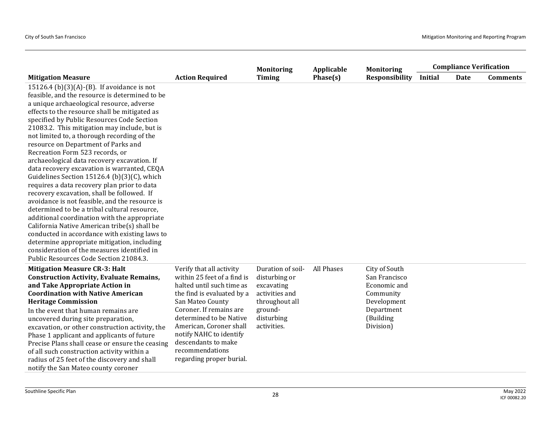|                                                                                                                                                                                                                                                                                                                                                                                                                                                                                                                                                                                                                                                                                                                                                                                                                                                                                                                                                                                                                                                        |                                                                                                                                                                                                                                                                                                                          | <b>Monitoring</b>                                                                                                            | Applicable        | <b>Monitoring</b>                                                                                                  |         | <b>Compliance Verification</b> |                 |
|--------------------------------------------------------------------------------------------------------------------------------------------------------------------------------------------------------------------------------------------------------------------------------------------------------------------------------------------------------------------------------------------------------------------------------------------------------------------------------------------------------------------------------------------------------------------------------------------------------------------------------------------------------------------------------------------------------------------------------------------------------------------------------------------------------------------------------------------------------------------------------------------------------------------------------------------------------------------------------------------------------------------------------------------------------|--------------------------------------------------------------------------------------------------------------------------------------------------------------------------------------------------------------------------------------------------------------------------------------------------------------------------|------------------------------------------------------------------------------------------------------------------------------|-------------------|--------------------------------------------------------------------------------------------------------------------|---------|--------------------------------|-----------------|
| <b>Mitigation Measure</b>                                                                                                                                                                                                                                                                                                                                                                                                                                                                                                                                                                                                                                                                                                                                                                                                                                                                                                                                                                                                                              | <b>Action Required</b>                                                                                                                                                                                                                                                                                                   | <b>Timing</b>                                                                                                                | Phase(s)          | Responsibility                                                                                                     | Initial | Date                           | <b>Comments</b> |
| 15126.4 (b)(3)(A)-(B). If avoidance is not<br>feasible, and the resource is determined to be<br>a unique archaeological resource, adverse<br>effects to the resource shall be mitigated as<br>specified by Public Resources Code Section<br>21083.2. This mitigation may include, but is<br>not limited to, a thorough recording of the<br>resource on Department of Parks and<br>Recreation Form 523 records, or<br>archaeological data recovery excavation. If<br>data recovery excavation is warranted, CEQA<br>Guidelines Section 15126.4 (b)(3)(C), which<br>requires a data recovery plan prior to data<br>recovery excavation, shall be followed. If<br>avoidance is not feasible, and the resource is<br>determined to be a tribal cultural resource,<br>additional coordination with the appropriate<br>California Native American tribe(s) shall be<br>conducted in accordance with existing laws to<br>determine appropriate mitigation, including<br>consideration of the measures identified in<br>Public Resources Code Section 21084.3. |                                                                                                                                                                                                                                                                                                                          |                                                                                                                              |                   |                                                                                                                    |         |                                |                 |
| <b>Mitigation Measure CR-3: Halt</b><br><b>Construction Activity, Evaluate Remains,</b><br>and Take Appropriate Action in<br><b>Coordination with Native American</b><br><b>Heritage Commission</b><br>In the event that human remains are<br>uncovered during site preparation,<br>excavation, or other construction activity, the<br>Phase 1 applicant and applicants of future<br>Precise Plans shall cease or ensure the ceasing<br>of all such construction activity within a<br>radius of 25 feet of the discovery and shall<br>notify the San Mateo county coroner                                                                                                                                                                                                                                                                                                                                                                                                                                                                              | Verify that all activity<br>within 25 feet of a find is<br>halted until such time as<br>the find is evaluated by a<br>San Mateo County<br>Coroner. If remains are<br>determined to be Native<br>American, Coroner shall<br>notify NAHC to identify<br>descendants to make<br>recommendations<br>regarding proper burial. | Duration of soil-<br>disturbing or<br>excavating<br>activities and<br>throughout all<br>ground-<br>disturbing<br>activities. | <b>All Phases</b> | City of South<br>San Francisco<br>Economic and<br>Community<br>Development<br>Department<br>(Building<br>Division) |         |                                |                 |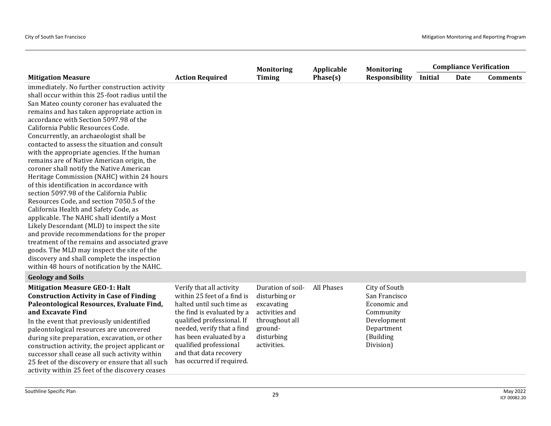|                                                                                                                                                                                                                                                                                                                                                                                                                                                                                                                                                                                                                                                                                                                                                                                                                                                                                                                                                                                                                                                                                          |                                                                                                                                                                                                                                                                                            | <b>Monitoring</b>                                                                                                            | Applicable | <b>Monitoring</b>                                                                                                  |         | <b>Compliance Verification</b> |                 |
|------------------------------------------------------------------------------------------------------------------------------------------------------------------------------------------------------------------------------------------------------------------------------------------------------------------------------------------------------------------------------------------------------------------------------------------------------------------------------------------------------------------------------------------------------------------------------------------------------------------------------------------------------------------------------------------------------------------------------------------------------------------------------------------------------------------------------------------------------------------------------------------------------------------------------------------------------------------------------------------------------------------------------------------------------------------------------------------|--------------------------------------------------------------------------------------------------------------------------------------------------------------------------------------------------------------------------------------------------------------------------------------------|------------------------------------------------------------------------------------------------------------------------------|------------|--------------------------------------------------------------------------------------------------------------------|---------|--------------------------------|-----------------|
| <b>Mitigation Measure</b>                                                                                                                                                                                                                                                                                                                                                                                                                                                                                                                                                                                                                                                                                                                                                                                                                                                                                                                                                                                                                                                                | <b>Action Required</b>                                                                                                                                                                                                                                                                     | <b>Timing</b>                                                                                                                | Phase(s)   | <b>Responsibility</b>                                                                                              | Initial | Date                           | <b>Comments</b> |
| immediately. No further construction activity<br>shall occur within this 25-foot radius until the<br>San Mateo county coroner has evaluated the<br>remains and has taken appropriate action in<br>accordance with Section 5097.98 of the<br>California Public Resources Code.<br>Concurrently, an archaeologist shall be<br>contacted to assess the situation and consult<br>with the appropriate agencies. If the human<br>remains are of Native American origin, the<br>coroner shall notify the Native American<br>Heritage Commission (NAHC) within 24 hours<br>of this identification in accordance with<br>section 5097.98 of the California Public<br>Resources Code, and section 7050.5 of the<br>California Health and Safety Code, as<br>applicable. The NAHC shall identify a Most<br>Likely Descendant (MLD) to inspect the site<br>and provide recommendations for the proper<br>treatment of the remains and associated grave<br>goods. The MLD may inspect the site of the<br>discovery and shall complete the inspection<br>within 48 hours of notification by the NAHC. |                                                                                                                                                                                                                                                                                            |                                                                                                                              |            |                                                                                                                    |         |                                |                 |
| <b>Geology and Soils</b>                                                                                                                                                                                                                                                                                                                                                                                                                                                                                                                                                                                                                                                                                                                                                                                                                                                                                                                                                                                                                                                                 |                                                                                                                                                                                                                                                                                            |                                                                                                                              |            |                                                                                                                    |         |                                |                 |
| <b>Mitigation Measure GEO-1: Halt</b><br><b>Construction Activity in Case of Finding</b><br>Paleontological Resources, Evaluate Find,<br>and Excavate Find<br>In the event that previously unidentified<br>paleontological resources are uncovered<br>during site preparation, excavation, or other<br>construction activity, the project applicant or<br>successor shall cease all such activity within<br>25 feet of the discovery or ensure that all such                                                                                                                                                                                                                                                                                                                                                                                                                                                                                                                                                                                                                             | Verify that all activity<br>within 25 feet of a find is<br>halted until such time as<br>the find is evaluated by a<br>qualified professional. If<br>needed, verify that a find<br>has been evaluated by a<br>qualified professional<br>and that data recovery<br>has occurred if required. | Duration of soil-<br>disturbing or<br>excavating<br>activities and<br>throughout all<br>ground-<br>disturbing<br>activities. | All Phases | City of South<br>San Francisco<br>Economic and<br>Community<br>Development<br>Department<br>(Building<br>Division) |         |                                |                 |

activity within 25 feet of the discovery ceases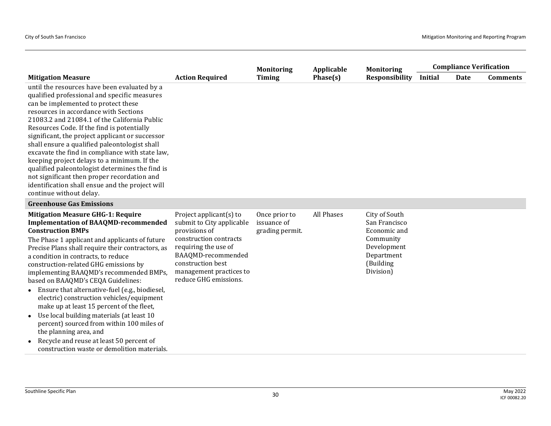|                                                                                                                                                                                                                                                                                                                                                                                                                                                                                                                                                                                                                                                                                                                                                                                  |                                                                                                                                                                                                                        | <b>Monitoring</b>                               | Applicable | <b>Monitoring</b>                                                                                                  |                | <b>Compliance Verification</b> |                 |
|----------------------------------------------------------------------------------------------------------------------------------------------------------------------------------------------------------------------------------------------------------------------------------------------------------------------------------------------------------------------------------------------------------------------------------------------------------------------------------------------------------------------------------------------------------------------------------------------------------------------------------------------------------------------------------------------------------------------------------------------------------------------------------|------------------------------------------------------------------------------------------------------------------------------------------------------------------------------------------------------------------------|-------------------------------------------------|------------|--------------------------------------------------------------------------------------------------------------------|----------------|--------------------------------|-----------------|
| <b>Mitigation Measure</b>                                                                                                                                                                                                                                                                                                                                                                                                                                                                                                                                                                                                                                                                                                                                                        | <b>Action Required</b>                                                                                                                                                                                                 | Timing                                          | Phase(s)   | <b>Responsibility</b>                                                                                              | <b>Initial</b> | Date                           | <b>Comments</b> |
| until the resources have been evaluated by a<br>qualified professional and specific measures<br>can be implemented to protect these<br>resources in accordance with Sections<br>21083.2 and 21084.1 of the California Public<br>Resources Code. If the find is potentially<br>significant, the project applicant or successor<br>shall ensure a qualified paleontologist shall<br>excavate the find in compliance with state law,<br>keeping project delays to a minimum. If the<br>qualified paleontologist determines the find is<br>not significant then proper recordation and<br>identification shall ensue and the project will<br>continue without delay.                                                                                                                 |                                                                                                                                                                                                                        |                                                 |            |                                                                                                                    |                |                                |                 |
| <b>Greenhouse Gas Emissions</b>                                                                                                                                                                                                                                                                                                                                                                                                                                                                                                                                                                                                                                                                                                                                                  |                                                                                                                                                                                                                        |                                                 |            |                                                                                                                    |                |                                |                 |
| <b>Mitigation Measure GHG-1: Require</b><br><b>Implementation of BAAQMD-recommended</b><br><b>Construction BMPs</b><br>The Phase 1 applicant and applicants of future<br>Precise Plans shall require their contractors, as<br>a condition in contracts, to reduce<br>construction-related GHG emissions by<br>implementing BAAQMD's recommended BMPs,<br>based on BAAQMD's CEQA Guidelines:<br>Ensure that alternative-fuel (e.g., biodiesel,<br>$\bullet$<br>electric) construction vehicles/equipment<br>make up at least 15 percent of the fleet,<br>Use local building materials (at least 10<br>$\bullet$<br>percent) sourced from within 100 miles of<br>the planning area, and<br>Recycle and reuse at least 50 percent of<br>construction waste or demolition materials. | Project applicant(s) to<br>submit to City applicable<br>provisions of<br>construction contracts<br>requiring the use of<br>BAAQMD-recommended<br>construction best<br>management practices to<br>reduce GHG emissions. | Once prior to<br>issuance of<br>grading permit. | All Phases | City of South<br>San Francisco<br>Economic and<br>Community<br>Development<br>Department<br>(Building<br>Division) |                |                                |                 |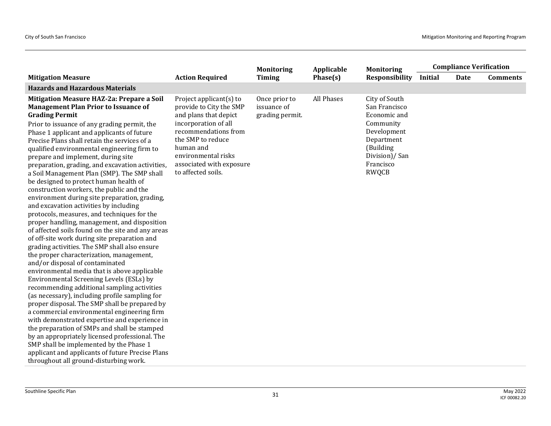|                                                                                                                                                                                                                                                                                                                                                                                                                                                                                                                                                                                                                                                                                                                                                                                                                                                                                                                                                                                                                                                                                                                                                                                                                                                                                                                                                                                                                                                                                                                                                                       |                                                                                                                                                                                                                                        | <b>Monitoring</b>                               | Applicable | <b>Monitoring</b>                                                                                                                                   | <b>Compliance Verification</b> |      |                 |
|-----------------------------------------------------------------------------------------------------------------------------------------------------------------------------------------------------------------------------------------------------------------------------------------------------------------------------------------------------------------------------------------------------------------------------------------------------------------------------------------------------------------------------------------------------------------------------------------------------------------------------------------------------------------------------------------------------------------------------------------------------------------------------------------------------------------------------------------------------------------------------------------------------------------------------------------------------------------------------------------------------------------------------------------------------------------------------------------------------------------------------------------------------------------------------------------------------------------------------------------------------------------------------------------------------------------------------------------------------------------------------------------------------------------------------------------------------------------------------------------------------------------------------------------------------------------------|----------------------------------------------------------------------------------------------------------------------------------------------------------------------------------------------------------------------------------------|-------------------------------------------------|------------|-----------------------------------------------------------------------------------------------------------------------------------------------------|--------------------------------|------|-----------------|
| <b>Mitigation Measure</b>                                                                                                                                                                                                                                                                                                                                                                                                                                                                                                                                                                                                                                                                                                                                                                                                                                                                                                                                                                                                                                                                                                                                                                                                                                                                                                                                                                                                                                                                                                                                             | <b>Action Required</b>                                                                                                                                                                                                                 | <b>Timing</b>                                   | Phase(s)   | Responsibility                                                                                                                                      | <b>Initial</b>                 | Date | <b>Comments</b> |
| <b>Hazards and Hazardous Materials</b>                                                                                                                                                                                                                                                                                                                                                                                                                                                                                                                                                                                                                                                                                                                                                                                                                                                                                                                                                                                                                                                                                                                                                                                                                                                                                                                                                                                                                                                                                                                                |                                                                                                                                                                                                                                        |                                                 |            |                                                                                                                                                     |                                |      |                 |
| Mitigation Measure HAZ-2a: Prepare a Soil<br><b>Management Plan Prior to Issuance of</b><br><b>Grading Permit</b><br>Prior to issuance of any grading permit, the<br>Phase 1 applicant and applicants of future<br>Precise Plans shall retain the services of a<br>qualified environmental engineering firm to<br>prepare and implement, during site<br>preparation, grading, and excavation activities,<br>a Soil Management Plan (SMP). The SMP shall<br>be designed to protect human health of<br>construction workers, the public and the<br>environment during site preparation, grading,<br>and excavation activities by including<br>protocols, measures, and techniques for the<br>proper handling, management, and disposition<br>of affected soils found on the site and any areas<br>of off-site work during site preparation and<br>grading activities. The SMP shall also ensure<br>the proper characterization, management,<br>and/or disposal of contaminated<br>environmental media that is above applicable<br>Environmental Screening Levels (ESLs) by<br>recommending additional sampling activities<br>(as necessary), including profile sampling for<br>proper disposal. The SMP shall be prepared by<br>a commercial environmental engineering firm<br>with demonstrated expertise and experience in<br>the preparation of SMPs and shall be stamped<br>by an appropriately licensed professional. The<br>SMP shall be implemented by the Phase 1<br>applicant and applicants of future Precise Plans<br>throughout all ground-disturbing work. | Project applicant(s) to<br>provide to City the SMP<br>and plans that depict<br>incorporation of all<br>recommendations from<br>the SMP to reduce<br>human and<br>environmental risks<br>associated with exposure<br>to affected soils. | Once prior to<br>issuance of<br>grading permit. | All Phases | City of South<br>San Francisco<br>Economic and<br>Community<br>Development<br>Department<br>(Building<br>Division)/San<br>Francisco<br><b>RWQCB</b> |                                |      |                 |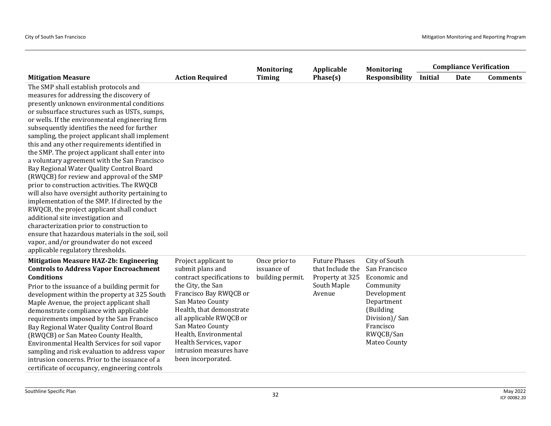|                                                                                                                                                                                                                                                                                                                                                                                                                                                                                                                                                                                                                                                                                                                                                                                                                                                                                                                                                                                                               |                                                                                                                                                                                                                                                                                                                          | <b>Monitoring</b>                                | Applicable                                                                           | <b>Monitoring</b>                                                                                                                                                |         | <b>Compliance Verification</b> |                 |
|---------------------------------------------------------------------------------------------------------------------------------------------------------------------------------------------------------------------------------------------------------------------------------------------------------------------------------------------------------------------------------------------------------------------------------------------------------------------------------------------------------------------------------------------------------------------------------------------------------------------------------------------------------------------------------------------------------------------------------------------------------------------------------------------------------------------------------------------------------------------------------------------------------------------------------------------------------------------------------------------------------------|--------------------------------------------------------------------------------------------------------------------------------------------------------------------------------------------------------------------------------------------------------------------------------------------------------------------------|--------------------------------------------------|--------------------------------------------------------------------------------------|------------------------------------------------------------------------------------------------------------------------------------------------------------------|---------|--------------------------------|-----------------|
| <b>Mitigation Measure</b>                                                                                                                                                                                                                                                                                                                                                                                                                                                                                                                                                                                                                                                                                                                                                                                                                                                                                                                                                                                     | <b>Action Required</b>                                                                                                                                                                                                                                                                                                   | Timing                                           | Phase(s)                                                                             | <b>Responsibility</b>                                                                                                                                            | Initial | Date                           | <b>Comments</b> |
| The SMP shall establish protocols and<br>measures for addressing the discovery of<br>presently unknown environmental conditions<br>or subsurface structures such as USTs, sumps,<br>or wells. If the environmental engineering firm<br>subsequently identifies the need for further<br>sampling, the project applicant shall implement<br>this and any other requirements identified in<br>the SMP. The project applicant shall enter into<br>a voluntary agreement with the San Francisco<br>Bay Regional Water Quality Control Board<br>(RWQCB) for review and approval of the SMP<br>prior to construction activities. The RWQCB<br>will also have oversight authority pertaining to<br>implementation of the SMP. If directed by the<br>RWQCB, the project applicant shall conduct<br>additional site investigation and<br>characterization prior to construction to<br>ensure that hazardous materials in the soil, soil<br>vapor, and/or groundwater do not exceed<br>applicable regulatory thresholds. |                                                                                                                                                                                                                                                                                                                          |                                                  |                                                                                      |                                                                                                                                                                  |         |                                |                 |
| <b>Mitigation Measure HAZ-2b: Engineering</b><br><b>Controls to Address Vapor Encroachment</b><br><b>Conditions</b><br>Prior to the issuance of a building permit for<br>development within the property at 325 South<br>Maple Avenue, the project applicant shall<br>demonstrate compliance with applicable<br>requirements imposed by the San Francisco<br>Bay Regional Water Quality Control Board<br>(RWQCB) or San Mateo County Health,<br>Environmental Health Services for soil vapor<br>sampling and risk evaluation to address vapor<br>intrusion concerns. Prior to the issuance of a<br>certificate of occupancy, engineering controls                                                                                                                                                                                                                                                                                                                                                             | Project applicant to<br>submit plans and<br>contract specifications to<br>the City, the San<br>Francisco Bay RWQCB or<br>San Mateo County<br>Health, that demonstrate<br>all applicable RWQCB or<br>San Mateo County<br>Health, Environmental<br>Health Services, vapor<br>intrusion measures have<br>been incorporated. | Once prior to<br>issuance of<br>building permit. | <b>Future Phases</b><br>that Include the<br>Property at 325<br>South Maple<br>Avenue | City of South<br>San Francisco<br>Economic and<br>Community<br>Development<br>Department<br>(Building<br>Division)/San<br>Francisco<br>RWQCB/San<br>Mateo County |         |                                |                 |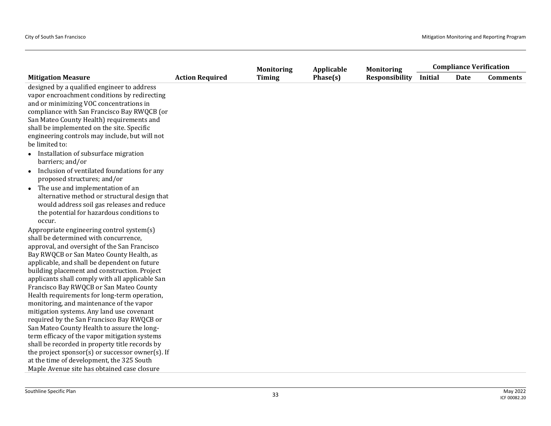|                                                                                                                                                   |                        | <b>Monitoring</b> | Applicable | <b>Monitoring</b>     | <b>Compliance Verification</b> |      |                 |
|---------------------------------------------------------------------------------------------------------------------------------------------------|------------------------|-------------------|------------|-----------------------|--------------------------------|------|-----------------|
| <b>Mitigation Measure</b>                                                                                                                         | <b>Action Required</b> | <b>Timing</b>     | Phase(s)   | <b>Responsibility</b> | <b>Initial</b>                 | Date | <b>Comments</b> |
| designed by a qualified engineer to address<br>vapor encroachment conditions by redirecting<br>and or minimizing VOC concentrations in            |                        |                   |            |                       |                                |      |                 |
| compliance with San Francisco Bay RWQCB (or                                                                                                       |                        |                   |            |                       |                                |      |                 |
| San Mateo County Health) requirements and                                                                                                         |                        |                   |            |                       |                                |      |                 |
| shall be implemented on the site. Specific                                                                                                        |                        |                   |            |                       |                                |      |                 |
| engineering controls may include, but will not                                                                                                    |                        |                   |            |                       |                                |      |                 |
| be limited to:                                                                                                                                    |                        |                   |            |                       |                                |      |                 |
| Installation of subsurface migration<br>barriers; and/or                                                                                          |                        |                   |            |                       |                                |      |                 |
| Inclusion of ventilated foundations for any<br>$\bullet$<br>proposed structures; and/or                                                           |                        |                   |            |                       |                                |      |                 |
| The use and implementation of an                                                                                                                  |                        |                   |            |                       |                                |      |                 |
| alternative method or structural design that<br>would address soil gas releases and reduce<br>the potential for hazardous conditions to<br>occur. |                        |                   |            |                       |                                |      |                 |
| Appropriate engineering control system(s)                                                                                                         |                        |                   |            |                       |                                |      |                 |
| shall be determined with concurrence,                                                                                                             |                        |                   |            |                       |                                |      |                 |
| approval, and oversight of the San Francisco                                                                                                      |                        |                   |            |                       |                                |      |                 |
| Bay RWQCB or San Mateo County Health, as                                                                                                          |                        |                   |            |                       |                                |      |                 |
| applicable, and shall be dependent on future                                                                                                      |                        |                   |            |                       |                                |      |                 |
| building placement and construction. Project                                                                                                      |                        |                   |            |                       |                                |      |                 |
| applicants shall comply with all applicable San                                                                                                   |                        |                   |            |                       |                                |      |                 |
| Francisco Bay RWQCB or San Mateo County                                                                                                           |                        |                   |            |                       |                                |      |                 |
| Health requirements for long-term operation,                                                                                                      |                        |                   |            |                       |                                |      |                 |
| monitoring, and maintenance of the vapor                                                                                                          |                        |                   |            |                       |                                |      |                 |
| mitigation systems. Any land use covenant                                                                                                         |                        |                   |            |                       |                                |      |                 |
| required by the San Francisco Bay RWQCB or                                                                                                        |                        |                   |            |                       |                                |      |                 |
| San Mateo County Health to assure the long-                                                                                                       |                        |                   |            |                       |                                |      |                 |
| term efficacy of the vapor mitigation systems                                                                                                     |                        |                   |            |                       |                                |      |                 |
| shall be recorded in property title records by                                                                                                    |                        |                   |            |                       |                                |      |                 |
| the project sponsor(s) or successor owner(s). If                                                                                                  |                        |                   |            |                       |                                |      |                 |
| at the time of development, the 325 South                                                                                                         |                        |                   |            |                       |                                |      |                 |
| Maple Avenue site has obtained case closure                                                                                                       |                        |                   |            |                       |                                |      |                 |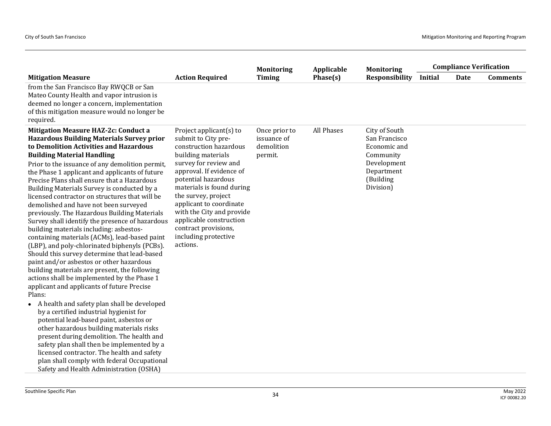|                                                                                                                                                                                                                                                                                                                                                                                                                                                                                                                                                                                                                                                                                                                                                                                                                                                                                                                                                                                                                                                                                                                                                                                                                                                              |                                                                                                                                                                                                                                                                                                                                                                                  | <b>Monitoring</b>                                     | Applicable | <b>Monitoring</b>                                                                                                  |                | <b>Compliance Verification</b> |                 |
|--------------------------------------------------------------------------------------------------------------------------------------------------------------------------------------------------------------------------------------------------------------------------------------------------------------------------------------------------------------------------------------------------------------------------------------------------------------------------------------------------------------------------------------------------------------------------------------------------------------------------------------------------------------------------------------------------------------------------------------------------------------------------------------------------------------------------------------------------------------------------------------------------------------------------------------------------------------------------------------------------------------------------------------------------------------------------------------------------------------------------------------------------------------------------------------------------------------------------------------------------------------|----------------------------------------------------------------------------------------------------------------------------------------------------------------------------------------------------------------------------------------------------------------------------------------------------------------------------------------------------------------------------------|-------------------------------------------------------|------------|--------------------------------------------------------------------------------------------------------------------|----------------|--------------------------------|-----------------|
| <b>Mitigation Measure</b>                                                                                                                                                                                                                                                                                                                                                                                                                                                                                                                                                                                                                                                                                                                                                                                                                                                                                                                                                                                                                                                                                                                                                                                                                                    | <b>Action Required</b>                                                                                                                                                                                                                                                                                                                                                           | <b>Timing</b>                                         | Phase(s)   | Responsibility                                                                                                     | <b>Initial</b> | <b>Date</b>                    | <b>Comments</b> |
| from the San Francisco Bay RWQCB or San<br>Mateo County Health and vapor intrusion is<br>deemed no longer a concern, implementation<br>of this mitigation measure would no longer be<br>required.                                                                                                                                                                                                                                                                                                                                                                                                                                                                                                                                                                                                                                                                                                                                                                                                                                                                                                                                                                                                                                                            |                                                                                                                                                                                                                                                                                                                                                                                  |                                                       |            |                                                                                                                    |                |                                |                 |
| <b>Mitigation Measure HAZ-2c: Conduct a</b><br><b>Hazardous Building Materials Survey prior</b><br>to Demolition Activities and Hazardous<br><b>Building Material Handling</b><br>Prior to the issuance of any demolition permit,<br>the Phase 1 applicant and applicants of future<br>Precise Plans shall ensure that a Hazardous<br>Building Materials Survey is conducted by a<br>licensed contractor on structures that will be<br>demolished and have not been surveyed<br>previously. The Hazardous Building Materials<br>Survey shall identify the presence of hazardous<br>building materials including: asbestos-<br>containing materials (ACMs), lead-based paint<br>(LBP), and poly-chlorinated biphenyls (PCBs).<br>Should this survey determine that lead-based<br>paint and/or asbestos or other hazardous<br>building materials are present, the following<br>actions shall be implemented by the Phase 1<br>applicant and applicants of future Precise<br>Plans:<br>A health and safety plan shall be developed<br>by a certified industrial hygienist for<br>potential lead-based paint, asbestos or<br>other hazardous building materials risks<br>present during demolition. The health and<br>safety plan shall then be implemented by a | Project applicant $(s)$ to<br>submit to City pre-<br>construction hazardous<br>building materials<br>survey for review and<br>approval. If evidence of<br>potential hazardous<br>materials is found during<br>the survey, project<br>applicant to coordinate<br>with the City and provide<br>applicable construction<br>contract provisions,<br>including protective<br>actions. | Once prior to<br>issuance of<br>demolition<br>permit. | All Phases | City of South<br>San Francisco<br>Economic and<br>Community<br>Development<br>Department<br>(Building<br>Division) |                |                                |                 |
| licensed contractor. The health and safety<br>plan shall comply with federal Occupational<br>Safety and Health Administration (OSHA)                                                                                                                                                                                                                                                                                                                                                                                                                                                                                                                                                                                                                                                                                                                                                                                                                                                                                                                                                                                                                                                                                                                         |                                                                                                                                                                                                                                                                                                                                                                                  |                                                       |            |                                                                                                                    |                |                                |                 |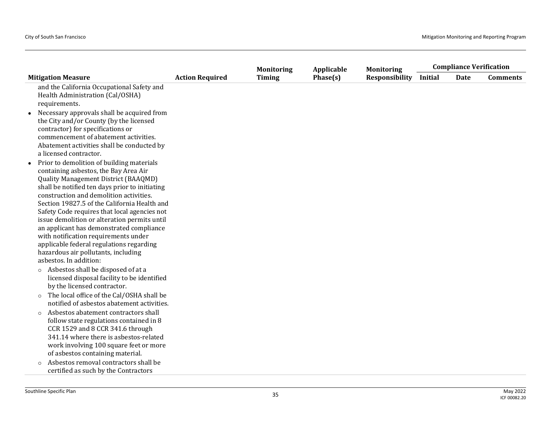|                                                                                                                                                                                                                                                                                                                                                                                                                                                                                                                                                                                                                                  |                        | <b>Monitoring</b> | Applicable | <b>Monitoring</b>     |         | <b>Compliance Verification</b> |                 |
|----------------------------------------------------------------------------------------------------------------------------------------------------------------------------------------------------------------------------------------------------------------------------------------------------------------------------------------------------------------------------------------------------------------------------------------------------------------------------------------------------------------------------------------------------------------------------------------------------------------------------------|------------------------|-------------------|------------|-----------------------|---------|--------------------------------|-----------------|
| <b>Mitigation Measure</b>                                                                                                                                                                                                                                                                                                                                                                                                                                                                                                                                                                                                        | <b>Action Required</b> | <b>Timing</b>     | Phase(s)   | <b>Responsibility</b> | Initial | Date                           | <b>Comments</b> |
| and the California Occupational Safety and<br>Health Administration (Cal/OSHA)<br>requirements.                                                                                                                                                                                                                                                                                                                                                                                                                                                                                                                                  |                        |                   |            |                       |         |                                |                 |
| Necessary approvals shall be acquired from<br>the City and/or County (by the licensed<br>contractor) for specifications or<br>commencement of abatement activities.<br>Abatement activities shall be conducted by<br>a licensed contractor.                                                                                                                                                                                                                                                                                                                                                                                      |                        |                   |            |                       |         |                                |                 |
| Prior to demolition of building materials<br>containing asbestos, the Bay Area Air<br><b>Quality Management District (BAAQMD)</b><br>shall be notified ten days prior to initiating<br>construction and demolition activities.<br>Section 19827.5 of the California Health and<br>Safety Code requires that local agencies not<br>issue demolition or alteration permits until<br>an applicant has demonstrated compliance<br>with notification requirements under<br>applicable federal regulations regarding<br>hazardous air pollutants, including<br>asbestos. In addition:<br>Asbestos shall be disposed of at a<br>$\circ$ |                        |                   |            |                       |         |                                |                 |
| licensed disposal facility to be identified<br>by the licensed contractor.<br>The local office of the Cal/OSHA shall be<br>$\circ$                                                                                                                                                                                                                                                                                                                                                                                                                                                                                               |                        |                   |            |                       |         |                                |                 |
| notified of asbestos abatement activities.<br>Asbestos abatement contractors shall<br>$\circ$<br>follow state regulations contained in 8<br>CCR 1529 and 8 CCR 341.6 through<br>341.14 where there is asbestos-related<br>work involving 100 square feet or more<br>of asbestos containing material.                                                                                                                                                                                                                                                                                                                             |                        |                   |            |                       |         |                                |                 |
| Asbestos removal contractors shall be<br>$\circ$<br>certified as such by the Contractors                                                                                                                                                                                                                                                                                                                                                                                                                                                                                                                                         |                        |                   |            |                       |         |                                |                 |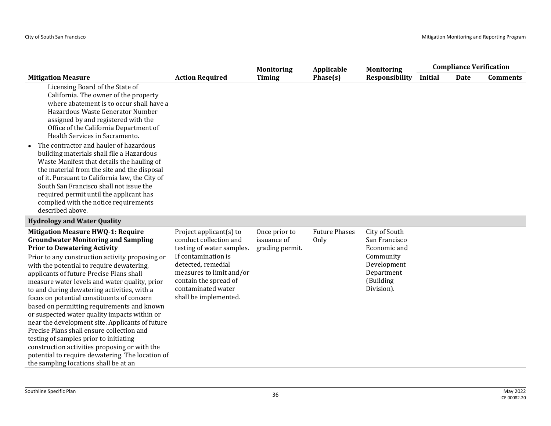|                                                                                                                                                                                                                                                                                                                                                                                                                                                                                                                                                                                                                                                                                                                                                                                                               |                                                                                                                                                                                                                                    | <b>Monitoring</b>                               | Applicable                   | <b>Monitoring</b>                                                                                                   | <b>Compliance Verification</b> |      |                 |  |
|---------------------------------------------------------------------------------------------------------------------------------------------------------------------------------------------------------------------------------------------------------------------------------------------------------------------------------------------------------------------------------------------------------------------------------------------------------------------------------------------------------------------------------------------------------------------------------------------------------------------------------------------------------------------------------------------------------------------------------------------------------------------------------------------------------------|------------------------------------------------------------------------------------------------------------------------------------------------------------------------------------------------------------------------------------|-------------------------------------------------|------------------------------|---------------------------------------------------------------------------------------------------------------------|--------------------------------|------|-----------------|--|
| <b>Mitigation Measure</b>                                                                                                                                                                                                                                                                                                                                                                                                                                                                                                                                                                                                                                                                                                                                                                                     | <b>Action Required</b>                                                                                                                                                                                                             | <b>Timing</b>                                   | Phase(s)                     | <b>Responsibility</b>                                                                                               | <b>Initial</b>                 | Date | <b>Comments</b> |  |
| Licensing Board of the State of<br>California. The owner of the property<br>where abatement is to occur shall have a<br>Hazardous Waste Generator Number<br>assigned by and registered with the<br>Office of the California Department of<br>Health Services in Sacramento.<br>The contractor and hauler of hazardous<br>building materials shall file a Hazardous<br>Waste Manifest that details the hauling of<br>the material from the site and the disposal<br>of it. Pursuant to California law, the City of<br>South San Francisco shall not issue the<br>required permit until the applicant has<br>complied with the notice requirements<br>described above.                                                                                                                                          |                                                                                                                                                                                                                                    |                                                 |                              |                                                                                                                     |                                |      |                 |  |
| <b>Hydrology and Water Quality</b>                                                                                                                                                                                                                                                                                                                                                                                                                                                                                                                                                                                                                                                                                                                                                                            |                                                                                                                                                                                                                                    |                                                 |                              |                                                                                                                     |                                |      |                 |  |
| <b>Mitigation Measure HWQ-1: Require</b><br><b>Groundwater Monitoring and Sampling</b><br><b>Prior to Dewatering Activity</b><br>Prior to any construction activity proposing or<br>with the potential to require dewatering,<br>applicants of future Precise Plans shall<br>measure water levels and water quality, prior<br>to and during dewatering activities, with a<br>focus on potential constituents of concern<br>based on permitting requirements and known<br>or suspected water quality impacts within or<br>near the development site. Applicants of future<br>Precise Plans shall ensure collection and<br>testing of samples prior to initiating<br>construction activities proposing or with the<br>potential to require dewatering. The location of<br>the sampling locations shall be at an | Project applicant $(s)$ to<br>conduct collection and<br>testing of water samples.<br>If contamination is<br>detected, remedial<br>measures to limit and/or<br>contain the spread of<br>contaminated water<br>shall be implemented. | Once prior to<br>issuance of<br>grading permit. | <b>Future Phases</b><br>Only | City of South<br>San Francisco<br>Economic and<br>Community<br>Development<br>Department<br>(Building<br>Division). |                                |      |                 |  |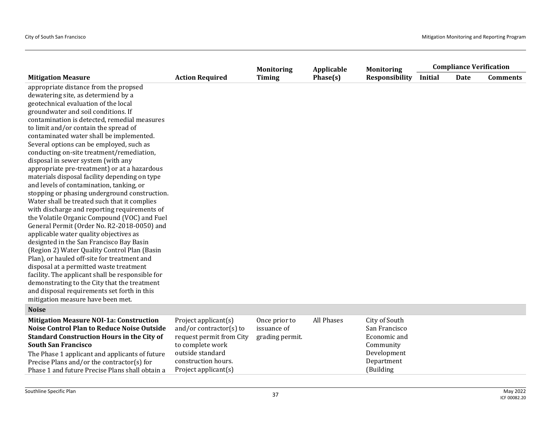|                                                                                                                                                                                                                                                                                                                                                                                                                                                                                                                                                                                                                                                                                                                                                                                                                                                                                                                                                                                                                                                                                                                                                                                                                                                      |                                                                                                                                                                    | <b>Monitoring</b>                               | Applicable | <b>Monitoring</b>                                                                                     |                | <b>Compliance Verification</b> |                 |
|------------------------------------------------------------------------------------------------------------------------------------------------------------------------------------------------------------------------------------------------------------------------------------------------------------------------------------------------------------------------------------------------------------------------------------------------------------------------------------------------------------------------------------------------------------------------------------------------------------------------------------------------------------------------------------------------------------------------------------------------------------------------------------------------------------------------------------------------------------------------------------------------------------------------------------------------------------------------------------------------------------------------------------------------------------------------------------------------------------------------------------------------------------------------------------------------------------------------------------------------------|--------------------------------------------------------------------------------------------------------------------------------------------------------------------|-------------------------------------------------|------------|-------------------------------------------------------------------------------------------------------|----------------|--------------------------------|-----------------|
| <b>Mitigation Measure</b>                                                                                                                                                                                                                                                                                                                                                                                                                                                                                                                                                                                                                                                                                                                                                                                                                                                                                                                                                                                                                                                                                                                                                                                                                            | <b>Action Required</b>                                                                                                                                             | <b>Timing</b>                                   | Phase(s)   | <b>Responsibility</b>                                                                                 | <b>Initial</b> | Date                           | <b>Comments</b> |
| appropriate distance from the propsed<br>dewatering site, as determiend by a<br>geotechnical evaluation of the local<br>groundwater and soil conditions. If<br>contamination is detected, remedial measures<br>to limit and/or contain the spread of<br>contaminated water shall be implemented.<br>Several options can be employed, such as<br>conducting on-site treatment/remediation,<br>disposal in sewer system (with any<br>appropriate pre-treatment) or at a hazardous<br>materials disposal facility depending on type<br>and levels of contamination, tanking, or<br>stopping or phasing underground construction.<br>Water shall be treated such that it complies<br>with discharge and reporting requirements of<br>the Volatile Organic Compound (VOC) and Fuel<br>General Permit (Order No. R2-2018-0050) and<br>applicable water quality objectives as<br>designted in the San Francisco Bay Basin<br>(Region 2) Water Quality Control Plan (Basin<br>Plan), or hauled off-site for treatment and<br>disposal at a permitted waste treatment<br>facility. The applicant shall be responsible for<br>demonstrating to the City that the treatment<br>and disposal requirements set forth in this<br>mitigation measure have been met. |                                                                                                                                                                    |                                                 |            |                                                                                                       |                |                                |                 |
| <b>Noise</b>                                                                                                                                                                                                                                                                                                                                                                                                                                                                                                                                                                                                                                                                                                                                                                                                                                                                                                                                                                                                                                                                                                                                                                                                                                         |                                                                                                                                                                    |                                                 |            |                                                                                                       |                |                                |                 |
| <b>Mitigation Measure NOI-1a: Construction</b><br><b>Noise Control Plan to Reduce Noise Outside</b><br><b>Standard Construction Hours in the City of</b><br><b>South San Francisco</b><br>The Phase 1 applicant and applicants of future<br>Precise Plans and/or the contractor(s) for<br>Phase 1 and future Precise Plans shall obtain a                                                                                                                                                                                                                                                                                                                                                                                                                                                                                                                                                                                                                                                                                                                                                                                                                                                                                                            | Project applicant(s)<br>and/or contractor(s) to<br>request permit from City<br>to complete work<br>outside standard<br>construction hours.<br>Project applicant(s) | Once prior to<br>issuance of<br>grading permit. | All Phases | City of South<br>San Francisco<br>Economic and<br>Community<br>Development<br>Department<br>(Building |                |                                |                 |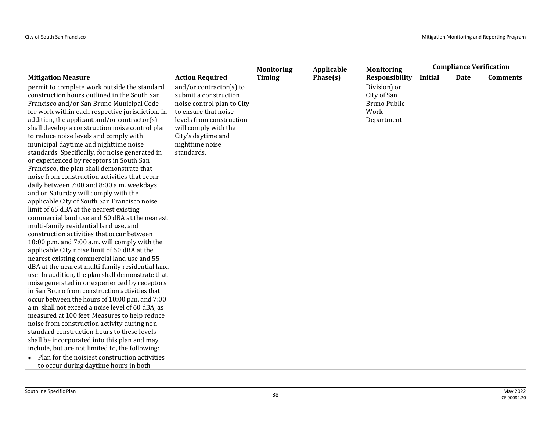| <b>Timing</b><br>Phase(s)<br><b>Responsibility</b><br><b>Initial</b><br><b>Mitigation Measure</b><br><b>Action Required</b><br>Date<br>permit to complete work outside the standard<br>and/or contractor(s) to<br>Division) or<br>construction hours outlined in the South San<br>submit a construction<br>City of San<br><b>Bruno Public</b><br>Francisco and/or San Bruno Municipal Code<br>noise control plan to City<br>Work<br>for work within each respective jurisdiction. In<br>to ensure that noise<br>levels from construction<br>addition, the applicant and/or contractor(s)<br>Department<br>shall develop a construction noise control plan<br>will comply with the<br>to reduce noise levels and comply with<br>City's daytime and<br>municipal daytime and nighttime noise<br>nighttime noise<br>standards.<br>standards. Specifically, for noise generated in<br>or experienced by receptors in South San<br>Francisco, the plan shall demonstrate that<br>noise from construction activities that occur<br>daily between 7:00 and 8:00 a.m. weekdays<br>and on Saturday will comply with the |                                              | <b>Monitoring</b> | Applicable | <b>Monitoring</b> | <b>Compliance Verification</b> |  |                 |
|----------------------------------------------------------------------------------------------------------------------------------------------------------------------------------------------------------------------------------------------------------------------------------------------------------------------------------------------------------------------------------------------------------------------------------------------------------------------------------------------------------------------------------------------------------------------------------------------------------------------------------------------------------------------------------------------------------------------------------------------------------------------------------------------------------------------------------------------------------------------------------------------------------------------------------------------------------------------------------------------------------------------------------------------------------------------------------------------------------------|----------------------------------------------|-------------------|------------|-------------------|--------------------------------|--|-----------------|
|                                                                                                                                                                                                                                                                                                                                                                                                                                                                                                                                                                                                                                                                                                                                                                                                                                                                                                                                                                                                                                                                                                                |                                              |                   |            |                   |                                |  | <b>Comments</b> |
| limit of 65 dBA at the nearest existing<br>commercial land use and 60 dBA at the nearest<br>multi-family residential land use, and<br>construction activities that occur between<br>10:00 p.m. and 7:00 a.m. will comply with the<br>applicable City noise limit of 60 dBA at the<br>nearest existing commercial land use and 55<br>dBA at the nearest multi-family residential land<br>use. In addition, the plan shall demonstrate that<br>noise generated in or experienced by receptors<br>in San Bruno from construction activities that<br>occur between the hours of 10:00 p.m. and 7:00<br>a.m. shall not exceed a noise level of 60 dBA, as<br>measured at 100 feet. Measures to help reduce<br>noise from construction activity during non-<br>standard construction hours to these levels<br>shall be incorporated into this plan and may<br>include, but are not limited to, the following:<br>• Plan for the noisiest construction activities                                                                                                                                                     | applicable City of South San Francisco noise |                   |            |                   |                                |  |                 |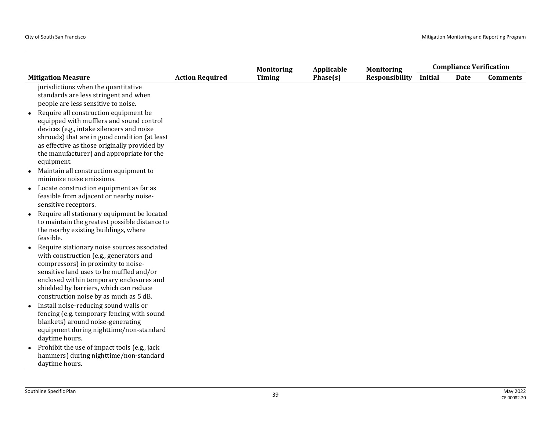|                                                                                                                                                                                                                                                                                                                                                                                                                   |                        | <b>Monitoring</b> | Applicable | <b>Monitoring</b>     |         | <b>Compliance Verification</b> |                 |
|-------------------------------------------------------------------------------------------------------------------------------------------------------------------------------------------------------------------------------------------------------------------------------------------------------------------------------------------------------------------------------------------------------------------|------------------------|-------------------|------------|-----------------------|---------|--------------------------------|-----------------|
| <b>Mitigation Measure</b>                                                                                                                                                                                                                                                                                                                                                                                         | <b>Action Required</b> | <b>Timing</b>     | Phase(s)   | <b>Responsibility</b> | Initial | <b>Date</b>                    | <b>Comments</b> |
| jurisdictions when the quantitative<br>standards are less stringent and when<br>people are less sensitive to noise.<br>Require all construction equipment be<br>equipped with mufflers and sound control<br>devices (e.g., intake silencers and noise<br>shrouds) that are in good condition (at least<br>as effective as those originally provided by<br>the manufacturer) and appropriate for the<br>equipment. |                        |                   |            |                       |         |                                |                 |
| Maintain all construction equipment to<br>minimize noise emissions.                                                                                                                                                                                                                                                                                                                                               |                        |                   |            |                       |         |                                |                 |
| Locate construction equipment as far as<br>$\bullet$<br>feasible from adjacent or nearby noise-<br>sensitive receptors.                                                                                                                                                                                                                                                                                           |                        |                   |            |                       |         |                                |                 |
| Require all stationary equipment be located<br>$\bullet$<br>to maintain the greatest possible distance to<br>the nearby existing buildings, where<br>feasible.                                                                                                                                                                                                                                                    |                        |                   |            |                       |         |                                |                 |
| Require stationary noise sources associated<br>$\bullet$<br>with construction (e.g., generators and<br>compressors) in proximity to noise-<br>sensitive land uses to be muffled and/or<br>enclosed within temporary enclosures and<br>shielded by barriers, which can reduce<br>construction noise by as much as 5 dB.                                                                                            |                        |                   |            |                       |         |                                |                 |
| Install noise-reducing sound walls or<br>fencing (e.g. temporary fencing with sound<br>blankets) around noise-generating<br>equipment during nighttime/non-standard<br>daytime hours.<br>Prohibit the use of impact tools (e.g., jack                                                                                                                                                                             |                        |                   |            |                       |         |                                |                 |
| hammers) during nighttime/non-standard<br>daytime hours.                                                                                                                                                                                                                                                                                                                                                          |                        |                   |            |                       |         |                                |                 |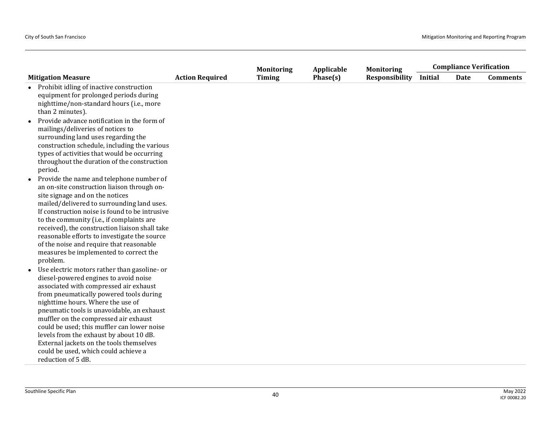|                                                                                                                                                                                                                                                                                                                                                                                                                                                                                                                         |                        | <b>Monitoring</b> | Applicable | <b>Monitoring</b>     |         | <b>Compliance Verification</b> |                 |
|-------------------------------------------------------------------------------------------------------------------------------------------------------------------------------------------------------------------------------------------------------------------------------------------------------------------------------------------------------------------------------------------------------------------------------------------------------------------------------------------------------------------------|------------------------|-------------------|------------|-----------------------|---------|--------------------------------|-----------------|
| <b>Mitigation Measure</b>                                                                                                                                                                                                                                                                                                                                                                                                                                                                                               | <b>Action Required</b> | <b>Timing</b>     | Phase(s)   | <b>Responsibility</b> | Initial | <b>Date</b>                    | <b>Comments</b> |
| Prohibit idling of inactive construction<br>equipment for prolonged periods during<br>nighttime/non-standard hours (i.e., more<br>than 2 minutes).                                                                                                                                                                                                                                                                                                                                                                      |                        |                   |            |                       |         |                                |                 |
| Provide advance notification in the form of<br>mailings/deliveries of notices to<br>surrounding land uses regarding the<br>construction schedule, including the various<br>types of activities that would be occurring<br>throughout the duration of the construction<br>period.                                                                                                                                                                                                                                        |                        |                   |            |                       |         |                                |                 |
| Provide the name and telephone number of<br>$\bullet$<br>an on-site construction liaison through on-<br>site signage and on the notices<br>mailed/delivered to surrounding land uses.<br>If construction noise is found to be intrusive<br>to the community (i.e., if complaints are<br>received), the construction liaison shall take<br>reasonable efforts to investigate the source<br>of the noise and require that reasonable<br>measures be implemented to correct the<br>problem.                                |                        |                   |            |                       |         |                                |                 |
| Use electric motors rather than gasoline- or<br>$\bullet$<br>diesel-powered engines to avoid noise<br>associated with compressed air exhaust<br>from pneumatically powered tools during<br>nighttime hours. Where the use of<br>pneumatic tools is unavoidable, an exhaust<br>muffler on the compressed air exhaust<br>could be used; this muffler can lower noise<br>levels from the exhaust by about 10 dB.<br>External jackets on the tools themselves<br>could be used, which could achieve a<br>reduction of 5 dB. |                        |                   |            |                       |         |                                |                 |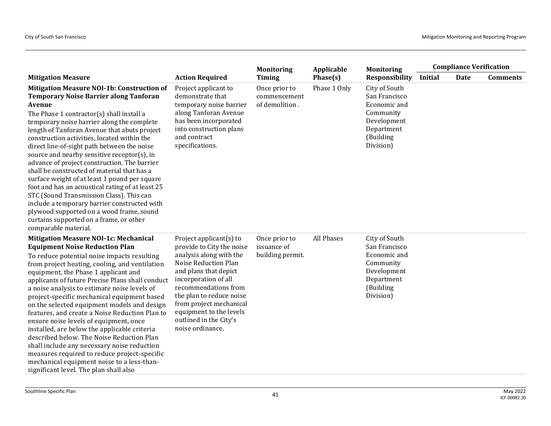|                                                                                                                                                                                                                                                                                                                                                                                                                                                                                                                                                                                                                                                                                                                                                                                                                  |                                                                                                                                                                                                                                                                                                                  | <b>Monitoring</b>                                | Applicable   | <b>Monitoring</b>                                                                                                  |                | <b>Compliance Verification</b> |                 |
|------------------------------------------------------------------------------------------------------------------------------------------------------------------------------------------------------------------------------------------------------------------------------------------------------------------------------------------------------------------------------------------------------------------------------------------------------------------------------------------------------------------------------------------------------------------------------------------------------------------------------------------------------------------------------------------------------------------------------------------------------------------------------------------------------------------|------------------------------------------------------------------------------------------------------------------------------------------------------------------------------------------------------------------------------------------------------------------------------------------------------------------|--------------------------------------------------|--------------|--------------------------------------------------------------------------------------------------------------------|----------------|--------------------------------|-----------------|
| <b>Mitigation Measure</b>                                                                                                                                                                                                                                                                                                                                                                                                                                                                                                                                                                                                                                                                                                                                                                                        | <b>Action Required</b>                                                                                                                                                                                                                                                                                           | <b>Timing</b>                                    | Phase(s)     | <b>Responsibility</b>                                                                                              | <b>Initial</b> | Date                           | <b>Comments</b> |
| Mitigation Measure NOI-1b: Construction of<br><b>Temporary Noise Barrier along Tanforan</b><br>Avenue<br>The Phase 1 contractor(s) shall install a<br>temporary noise barrier along the complete<br>length of Tanforan Avenue that abuts project<br>construction activities, located within the<br>direct line-of-sight path between the noise<br>source and nearby sensitive receptor(s), in<br>advance of project construction. The barrier<br>shall be constructed of material that has a<br>surface weight of at least 1 pound per square<br>foot and has an acoustical rating of at least 25<br>STC (Sound Transmission Class). This can<br>include a temporary barrier constructed with<br>plywood supported on a wood frame, sound<br>curtains supported on a frame, or other<br>comparable material.     | Project applicant to<br>demonstrate that<br>temporary noise barrier<br>along Tanforan Avenue<br>has been incorporated<br>into construction plans<br>and contract<br>specifications.                                                                                                                              | Once prior to<br>commencement<br>of demolition.  | Phase 1 Only | City of South<br>San Francisco<br>Economic and<br>Community<br>Development<br>Department<br>(Building<br>Division) |                |                                |                 |
| <b>Mitigation Measure NOI-1c: Mechanical</b><br><b>Equipment Noise Reduction Plan</b><br>To reduce potential noise impacts resulting<br>from project heating, cooling, and ventilation<br>equipment, the Phase 1 applicant and<br>applicants of future Precise Plans shall conduct<br>a noise analysis to estimate noise levels of<br>project-specific mechanical equipment based<br>on the selected equipment models and design<br>features, and create a Noise Reduction Plan to<br>ensure noise levels of equipment, once<br>installed, are below the applicable criteria<br>described below. The Noise Reduction Plan<br>shall include any necessary noise reduction<br>measures required to reduce project-specific<br>mechanical equipment noise to a less-than-<br>significant level. The plan shall also | Project applicant(s) to<br>provide to City the noise<br>analysis along with the<br>Noise Reduction Plan<br>and plans that depict<br>incorporation of all<br>recommendations from<br>the plan to reduce noise<br>from project mechanical<br>equipment to the levels<br>outlined in the City's<br>noise ordinance. | Once prior to<br>issuance of<br>building permit. | All Phases   | City of South<br>San Francisco<br>Economic and<br>Community<br>Development<br>Department<br>(Building<br>Division) |                |                                |                 |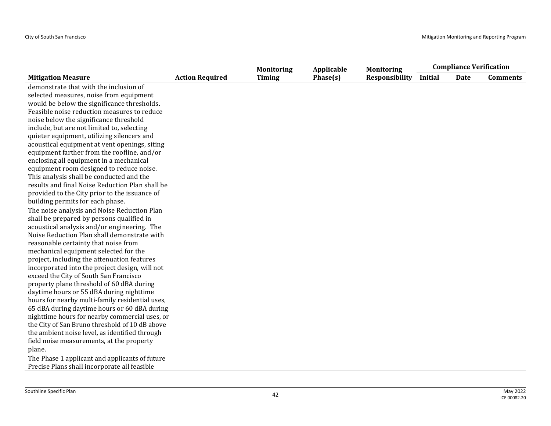|                                                 |                        | <b>Monitoring</b> | Applicable | <b>Monitoring</b>     | <b>Compliance Verification</b> |      |                 |
|-------------------------------------------------|------------------------|-------------------|------------|-----------------------|--------------------------------|------|-----------------|
| <b>Mitigation Measure</b>                       | <b>Action Required</b> | <b>Timing</b>     | Phase(s)   | <b>Responsibility</b> | <b>Initial</b>                 | Date | <b>Comments</b> |
| demonstrate that with the inclusion of          |                        |                   |            |                       |                                |      |                 |
| selected measures, noise from equipment         |                        |                   |            |                       |                                |      |                 |
| would be below the significance thresholds.     |                        |                   |            |                       |                                |      |                 |
| Feasible noise reduction measures to reduce     |                        |                   |            |                       |                                |      |                 |
| noise below the significance threshold          |                        |                   |            |                       |                                |      |                 |
| include, but are not limited to, selecting      |                        |                   |            |                       |                                |      |                 |
| quieter equipment, utilizing silencers and      |                        |                   |            |                       |                                |      |                 |
| acoustical equipment at vent openings, siting   |                        |                   |            |                       |                                |      |                 |
| equipment farther from the roofline, and/or     |                        |                   |            |                       |                                |      |                 |
| enclosing all equipment in a mechanical         |                        |                   |            |                       |                                |      |                 |
| equipment room designed to reduce noise.        |                        |                   |            |                       |                                |      |                 |
| This analysis shall be conducted and the        |                        |                   |            |                       |                                |      |                 |
| results and final Noise Reduction Plan shall be |                        |                   |            |                       |                                |      |                 |
| provided to the City prior to the issuance of   |                        |                   |            |                       |                                |      |                 |
| building permits for each phase.                |                        |                   |            |                       |                                |      |                 |
| The noise analysis and Noise Reduction Plan     |                        |                   |            |                       |                                |      |                 |
| shall be prepared by persons qualified in       |                        |                   |            |                       |                                |      |                 |
| acoustical analysis and/or engineering. The     |                        |                   |            |                       |                                |      |                 |
| Noise Reduction Plan shall demonstrate with     |                        |                   |            |                       |                                |      |                 |
| reasonable certainty that noise from            |                        |                   |            |                       |                                |      |                 |
| mechanical equipment selected for the           |                        |                   |            |                       |                                |      |                 |
| project, including the attenuation features     |                        |                   |            |                       |                                |      |                 |
| incorporated into the project design, will not  |                        |                   |            |                       |                                |      |                 |
| exceed the City of South San Francisco          |                        |                   |            |                       |                                |      |                 |
| property plane threshold of 60 dBA during       |                        |                   |            |                       |                                |      |                 |
| daytime hours or 55 dBA during nighttime        |                        |                   |            |                       |                                |      |                 |
| hours for nearby multi-family residential uses, |                        |                   |            |                       |                                |      |                 |
| 65 dBA during daytime hours or 60 dBA during    |                        |                   |            |                       |                                |      |                 |
| nighttime hours for nearby commercial uses, or  |                        |                   |            |                       |                                |      |                 |
| the City of San Bruno threshold of 10 dB above  |                        |                   |            |                       |                                |      |                 |
| the ambient noise level, as identified through  |                        |                   |            |                       |                                |      |                 |
| field noise measurements, at the property       |                        |                   |            |                       |                                |      |                 |
| plane.                                          |                        |                   |            |                       |                                |      |                 |
| The Phase 1 applicant and applicants of future  |                        |                   |            |                       |                                |      |                 |
| Precise Plans shall incorporate all feasible    |                        |                   |            |                       |                                |      |                 |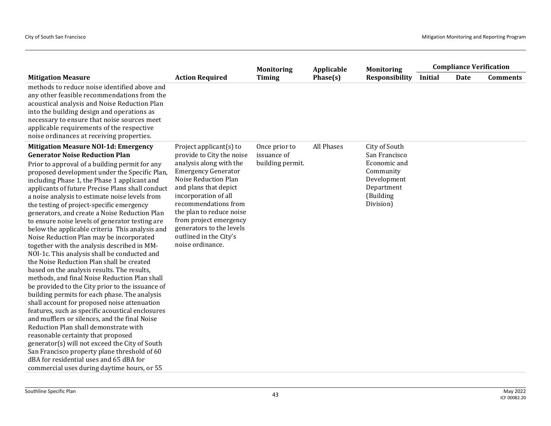|                                                                                                                                                                                                                                                                                                                                                                                                                                                                                                                                                                                                                                                                                                                                                                                                                                                                                                                                                                                                                                                                                                                                                                                                                                                                                                                                                                                |                                                                                                                                                                                                                                                                                                                                                   | <b>Monitoring</b>                                | Applicable | <b>Monitoring</b>                                                                                                  |                | <b>Compliance Verification</b> |                 |
|--------------------------------------------------------------------------------------------------------------------------------------------------------------------------------------------------------------------------------------------------------------------------------------------------------------------------------------------------------------------------------------------------------------------------------------------------------------------------------------------------------------------------------------------------------------------------------------------------------------------------------------------------------------------------------------------------------------------------------------------------------------------------------------------------------------------------------------------------------------------------------------------------------------------------------------------------------------------------------------------------------------------------------------------------------------------------------------------------------------------------------------------------------------------------------------------------------------------------------------------------------------------------------------------------------------------------------------------------------------------------------|---------------------------------------------------------------------------------------------------------------------------------------------------------------------------------------------------------------------------------------------------------------------------------------------------------------------------------------------------|--------------------------------------------------|------------|--------------------------------------------------------------------------------------------------------------------|----------------|--------------------------------|-----------------|
| <b>Mitigation Measure</b>                                                                                                                                                                                                                                                                                                                                                                                                                                                                                                                                                                                                                                                                                                                                                                                                                                                                                                                                                                                                                                                                                                                                                                                                                                                                                                                                                      | <b>Action Required</b>                                                                                                                                                                                                                                                                                                                            | <b>Timing</b>                                    | Phase(s)   | <b>Responsibility</b>                                                                                              | <b>Initial</b> | <b>Date</b>                    | <b>Comments</b> |
| methods to reduce noise identified above and<br>any other feasible recommendations from the<br>acoustical analysis and Noise Reduction Plan<br>into the building design and operations as<br>necessary to ensure that noise sources meet<br>applicable requirements of the respective<br>noise ordinances at receiving properties.                                                                                                                                                                                                                                                                                                                                                                                                                                                                                                                                                                                                                                                                                                                                                                                                                                                                                                                                                                                                                                             |                                                                                                                                                                                                                                                                                                                                                   |                                                  |            |                                                                                                                    |                |                                |                 |
| <b>Mitigation Measure NOI-1d: Emergency</b><br><b>Generator Noise Reduction Plan</b><br>Prior to approval of a building permit for any<br>proposed development under the Specific Plan,<br>including Phase 1, the Phase 1 applicant and<br>applicants of future Precise Plans shall conduct<br>a noise analysis to estimate noise levels from<br>the testing of project-specific emergency<br>generators, and create a Noise Reduction Plan<br>to ensure noise levels of generator testing are<br>below the applicable criteria This analysis and<br>Noise Reduction Plan may be incorporated<br>together with the analysis described in MM-<br>NOI-1c. This analysis shall be conducted and<br>the Noise Reduction Plan shall be created<br>based on the analysis results. The results,<br>methods, and final Noise Reduction Plan shall<br>be provided to the City prior to the issuance of<br>building permits for each phase. The analysis<br>shall account for proposed noise attenuation<br>features, such as specific acoustical enclosures<br>and mufflers or silences, and the final Noise<br>Reduction Plan shall demonstrate with<br>reasonable certainty that proposed<br>generator(s) will not exceed the City of South<br>San Francisco property plane threshold of 60<br>dBA for residential uses and 65 dBA for<br>commercial uses during daytime hours, or 55 | Project applicant $(s)$ to<br>provide to City the noise<br>analysis along with the<br><b>Emergency Generator</b><br>Noise Reduction Plan<br>and plans that depict<br>incorporation of all<br>recommendations from<br>the plan to reduce noise<br>from project emergency<br>generators to the levels<br>outlined in the City's<br>noise ordinance. | Once prior to<br>issuance of<br>building permit. | All Phases | City of South<br>San Francisco<br>Economic and<br>Community<br>Development<br>Department<br>(Building<br>Division) |                |                                |                 |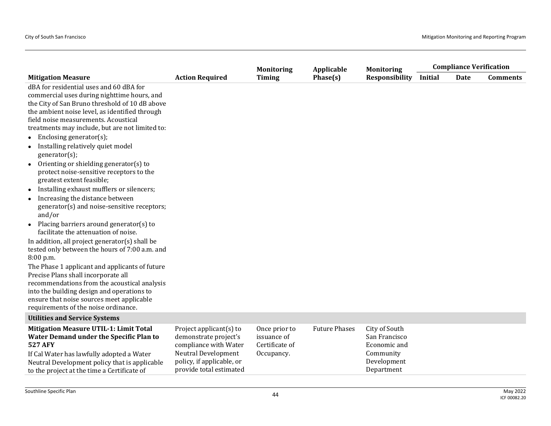|                                                                                                                              |                                                | <b>Monitoring</b>             | Applicable           | <b>Monitoring</b>             |                | <b>Compliance Verification</b> |                 |
|------------------------------------------------------------------------------------------------------------------------------|------------------------------------------------|-------------------------------|----------------------|-------------------------------|----------------|--------------------------------|-----------------|
| <b>Mitigation Measure</b>                                                                                                    | <b>Action Required</b>                         | <b>Timing</b>                 | Phase(s)             | <b>Responsibility</b>         | <b>Initial</b> | <b>Date</b>                    | <b>Comments</b> |
| dBA for residential uses and 60 dBA for                                                                                      |                                                |                               |                      |                               |                |                                |                 |
| commercial uses during nighttime hours, and                                                                                  |                                                |                               |                      |                               |                |                                |                 |
| the City of San Bruno threshold of 10 dB above                                                                               |                                                |                               |                      |                               |                |                                |                 |
| the ambient noise level, as identified through                                                                               |                                                |                               |                      |                               |                |                                |                 |
| field noise measurements. Acoustical                                                                                         |                                                |                               |                      |                               |                |                                |                 |
| treatments may include, but are not limited to:                                                                              |                                                |                               |                      |                               |                |                                |                 |
| Enclosing generator(s);<br>$\bullet$                                                                                         |                                                |                               |                      |                               |                |                                |                 |
| Installing relatively quiet model<br>$\bullet$<br>generator(s);                                                              |                                                |                               |                      |                               |                |                                |                 |
| Orienting or shielding generator(s) to<br>$\bullet$<br>protect noise-sensitive receptors to the<br>greatest extent feasible; |                                                |                               |                      |                               |                |                                |                 |
| Installing exhaust mufflers or silencers;<br>$\bullet$                                                                       |                                                |                               |                      |                               |                |                                |                 |
| Increasing the distance between<br>$\bullet$<br>generator(s) and noise-sensitive receptors;<br>and/or                        |                                                |                               |                      |                               |                |                                |                 |
| Placing barriers around generator(s) to<br>$\bullet$<br>facilitate the attenuation of noise.                                 |                                                |                               |                      |                               |                |                                |                 |
| In addition, all project generator(s) shall be                                                                               |                                                |                               |                      |                               |                |                                |                 |
| tested only between the hours of 7:00 a.m. and                                                                               |                                                |                               |                      |                               |                |                                |                 |
| 8:00 p.m.                                                                                                                    |                                                |                               |                      |                               |                |                                |                 |
| The Phase 1 applicant and applicants of future                                                                               |                                                |                               |                      |                               |                |                                |                 |
| Precise Plans shall incorporate all                                                                                          |                                                |                               |                      |                               |                |                                |                 |
| recommendations from the acoustical analysis                                                                                 |                                                |                               |                      |                               |                |                                |                 |
| into the building design and operations to                                                                                   |                                                |                               |                      |                               |                |                                |                 |
| ensure that noise sources meet applicable<br>requirements of the noise ordinance.                                            |                                                |                               |                      |                               |                |                                |                 |
|                                                                                                                              |                                                |                               |                      |                               |                |                                |                 |
| <b>Utilities and Service Systems</b>                                                                                         |                                                |                               |                      |                               |                |                                |                 |
| <b>Mitigation Measure UTIL-1: Limit Total</b>                                                                                | Project applicant(s) to                        | Once prior to                 | <b>Future Phases</b> | City of South                 |                |                                |                 |
| Water Demand under the Specific Plan to<br><b>527 AFY</b>                                                                    | demonstrate project's<br>compliance with Water | issuance of<br>Certificate of |                      | San Francisco<br>Economic and |                |                                |                 |
| If Cal Water has lawfully adopted a Water                                                                                    | <b>Neutral Development</b>                     | Occupancy.                    |                      | Community                     |                |                                |                 |
| Neutral Development policy that is applicable                                                                                | policy, if applicable, or                      |                               |                      | Development                   |                |                                |                 |
| to the project at the time a Certificate of                                                                                  | provide total estimated                        |                               |                      | Department                    |                |                                |                 |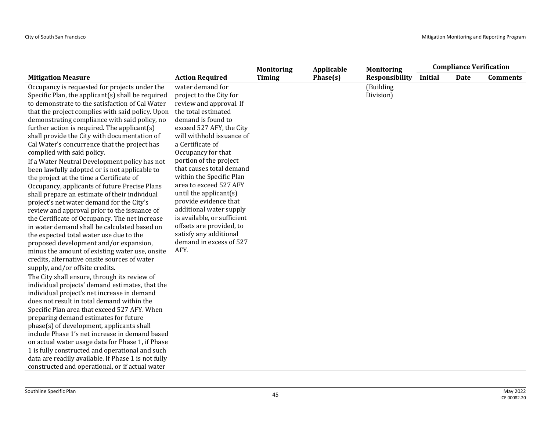|                                                                                                                                                                                                                                                                                                                                                                                                                                                                                                                                                                                                                                                                                                                                                                                                                                                                                                                                                                                                                                                                                                                                                                                                                                                                                                                                                                                                                                                                                                                                                                                                                                                                                                                            |                                                                                                                                                                                                                                                                                                                                                                                                                                                                                                                                             | <b>Monitoring</b> | Applicable | <b>Monitoring</b>      | <b>Compliance Verification</b> |             |                 |
|----------------------------------------------------------------------------------------------------------------------------------------------------------------------------------------------------------------------------------------------------------------------------------------------------------------------------------------------------------------------------------------------------------------------------------------------------------------------------------------------------------------------------------------------------------------------------------------------------------------------------------------------------------------------------------------------------------------------------------------------------------------------------------------------------------------------------------------------------------------------------------------------------------------------------------------------------------------------------------------------------------------------------------------------------------------------------------------------------------------------------------------------------------------------------------------------------------------------------------------------------------------------------------------------------------------------------------------------------------------------------------------------------------------------------------------------------------------------------------------------------------------------------------------------------------------------------------------------------------------------------------------------------------------------------------------------------------------------------|---------------------------------------------------------------------------------------------------------------------------------------------------------------------------------------------------------------------------------------------------------------------------------------------------------------------------------------------------------------------------------------------------------------------------------------------------------------------------------------------------------------------------------------------|-------------------|------------|------------------------|--------------------------------|-------------|-----------------|
| <b>Mitigation Measure</b>                                                                                                                                                                                                                                                                                                                                                                                                                                                                                                                                                                                                                                                                                                                                                                                                                                                                                                                                                                                                                                                                                                                                                                                                                                                                                                                                                                                                                                                                                                                                                                                                                                                                                                  | <b>Action Required</b>                                                                                                                                                                                                                                                                                                                                                                                                                                                                                                                      | <b>Timing</b>     | Phase(s)   | <b>Responsibility</b>  | <b>Initial</b>                 | <b>Date</b> | <b>Comments</b> |
| Occupancy is requested for projects under the<br>Specific Plan, the applicant(s) shall be required<br>to demonstrate to the satisfaction of Cal Water<br>that the project complies with said policy. Upon<br>demonstrating compliance with said policy, no<br>further action is required. The applicant(s)<br>shall provide the City with documentation of<br>Cal Water's concurrence that the project has<br>complied with said policy.<br>If a Water Neutral Development policy has not<br>been lawfully adopted or is not applicable to<br>the project at the time a Certificate of<br>Occupancy, applicants of future Precise Plans<br>shall prepare an estimate of their individual<br>project's net water demand for the City's<br>review and approval prior to the issuance of<br>the Certificate of Occupancy. The net increase<br>in water demand shall be calculated based on<br>the expected total water use due to the<br>proposed development and/or expansion,<br>minus the amount of existing water use, onsite<br>credits, alternative onsite sources of water<br>supply, and/or offsite credits.<br>The City shall ensure, through its review of<br>individual projects' demand estimates, that the<br>individual project's net increase in demand<br>does not result in total demand within the<br>Specific Plan area that exceed 527 AFY. When<br>preparing demand estimates for future<br>phase(s) of development, applicants shall<br>include Phase 1's net increase in demand based<br>on actual water usage data for Phase 1, if Phase<br>1 is fully constructed and operational and such<br>data are readily available. If Phase 1 is not fully<br>constructed and operational, or if actual water | water demand for<br>project to the City for<br>review and approval. If<br>the total estimated<br>demand is found to<br>exceed 527 AFY, the City<br>will withhold issuance of<br>a Certificate of<br>Occupancy for that<br>portion of the project<br>that causes total demand<br>within the Specific Plan<br>area to exceed 527 AFY<br>until the applicant $(s)$<br>provide evidence that<br>additional water supply<br>is available, or sufficient<br>offsets are provided, to<br>satisfy any additional<br>demand in excess of 527<br>AFY. |                   |            | (Building<br>Division) |                                |             |                 |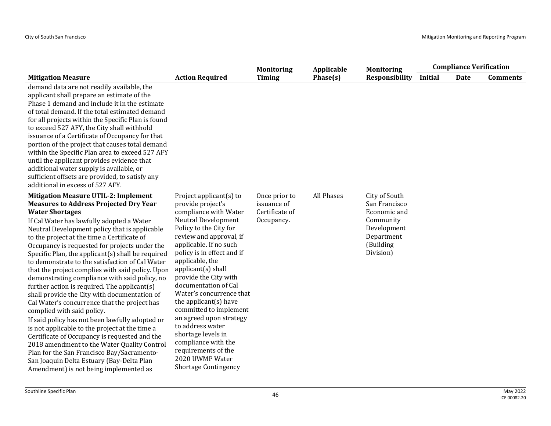|                                                                                                                                                                                                                                                                                                                                                                                                                                                                                                                                                                                                                                                                                                                                                                                                                                                                                                                                                                                                                                                              |                                                                                                                                                                                                                                                                                                                                                                                                                                                                                                                                                            | <b>Monitoring</b>                                            | Applicable | <b>Monitoring</b>                                                                                                  |                | <b>Compliance Verification</b> |                 |
|--------------------------------------------------------------------------------------------------------------------------------------------------------------------------------------------------------------------------------------------------------------------------------------------------------------------------------------------------------------------------------------------------------------------------------------------------------------------------------------------------------------------------------------------------------------------------------------------------------------------------------------------------------------------------------------------------------------------------------------------------------------------------------------------------------------------------------------------------------------------------------------------------------------------------------------------------------------------------------------------------------------------------------------------------------------|------------------------------------------------------------------------------------------------------------------------------------------------------------------------------------------------------------------------------------------------------------------------------------------------------------------------------------------------------------------------------------------------------------------------------------------------------------------------------------------------------------------------------------------------------------|--------------------------------------------------------------|------------|--------------------------------------------------------------------------------------------------------------------|----------------|--------------------------------|-----------------|
| <b>Mitigation Measure</b>                                                                                                                                                                                                                                                                                                                                                                                                                                                                                                                                                                                                                                                                                                                                                                                                                                                                                                                                                                                                                                    | <b>Action Required</b>                                                                                                                                                                                                                                                                                                                                                                                                                                                                                                                                     | <b>Timing</b>                                                | Phase(s)   | <b>Responsibility</b>                                                                                              | <b>Initial</b> | Date                           | <b>Comments</b> |
| demand data are not readily available, the<br>applicant shall prepare an estimate of the<br>Phase 1 demand and include it in the estimate<br>of total demand. If the total estimated demand<br>for all projects within the Specific Plan is found<br>to exceed 527 AFY, the City shall withhold<br>issuance of a Certificate of Occupancy for that<br>portion of the project that causes total demand<br>within the Specific Plan area to exceed 527 AFY<br>until the applicant provides evidence that<br>additional water supply is available, or<br>sufficient offsets are provided, to satisfy any<br>additional in excess of 527 AFY.                                                                                                                                                                                                                                                                                                                                                                                                                    |                                                                                                                                                                                                                                                                                                                                                                                                                                                                                                                                                            |                                                              |            |                                                                                                                    |                |                                |                 |
| <b>Mitigation Measure UTIL-2: Implement</b><br><b>Measures to Address Projected Dry Year</b><br><b>Water Shortages</b><br>If Cal Water has lawfully adopted a Water<br>Neutral Development policy that is applicable<br>to the project at the time a Certificate of<br>Occupancy is requested for projects under the<br>Specific Plan, the applicant(s) shall be required<br>to demonstrate to the satisfaction of Cal Water<br>that the project complies with said policy. Upon<br>demonstrating compliance with said policy, no<br>further action is required. The applicant $(s)$<br>shall provide the City with documentation of<br>Cal Water's concurrence that the project has<br>complied with said policy.<br>If said policy has not been lawfully adopted or<br>is not applicable to the project at the time a<br>Certificate of Occupancy is requested and the<br>2018 amendment to the Water Quality Control<br>Plan for the San Francisco Bay/Sacramento-<br>San Joaquin Delta Estuary (Bay-Delta Plan<br>Amendment) is not being implemented as | Project applicant $(s)$ to<br>provide project's<br>compliance with Water<br>Neutral Development<br>Policy to the City for<br>review and approval, if<br>applicable. If no such<br>policy is in effect and if<br>applicable, the<br>applicant(s) shall<br>provide the City with<br>documentation of Cal<br>Water's concurrence that<br>the applicant(s) have<br>committed to implement<br>an agreed upon strategy<br>to address water<br>shortage levels in<br>compliance with the<br>requirements of the<br>2020 UWMP Water<br><b>Shortage Contingency</b> | Once prior to<br>issuance of<br>Certificate of<br>Occupancy. | All Phases | City of South<br>San Francisco<br>Economic and<br>Community<br>Development<br>Department<br>(Building<br>Division) |                |                                |                 |